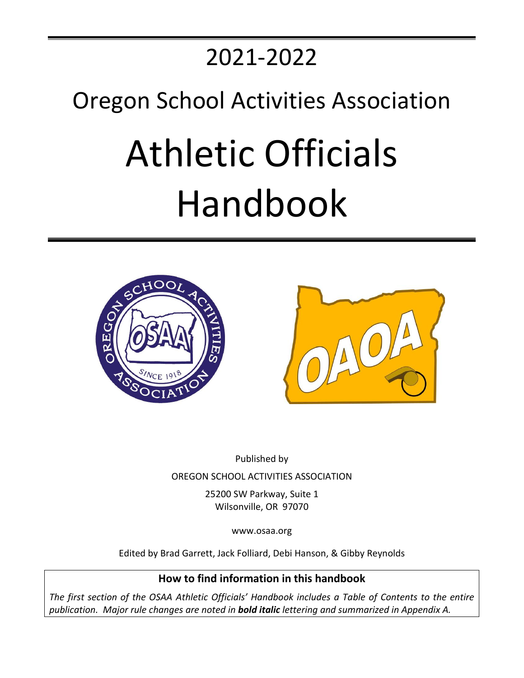# 2021-2022

## Oregon School Activities Association

# Athletic Officials Handbook





Published by OREGON SCHOOL ACTIVITIES ASSOCIATION

> 25200 SW Parkway, Suite 1 Wilsonville, OR 97070

> > www.osaa.org

Edited by Brad Garrett, Jack Folliard, Debi Hanson, & Gibby Reynolds

**How to find information in this handbook**

*The first section of the OSAA Athletic Officials' Handbook includes a Table of Contents to the entire publication. Major rule changes are noted in bold italic lettering and summarized in Appendix A.*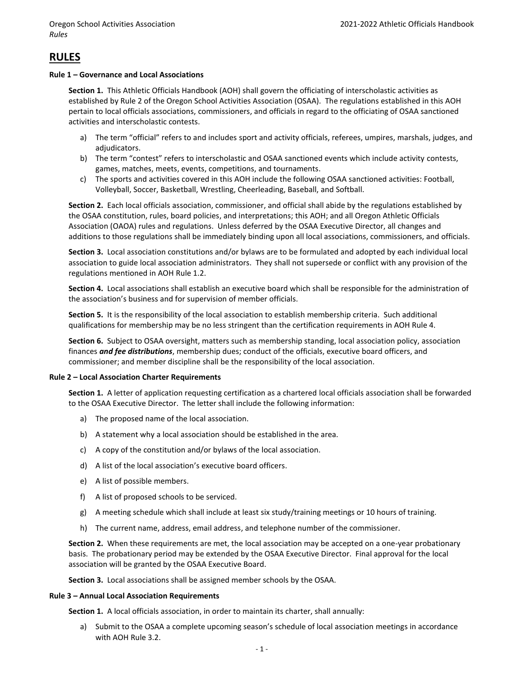### **RULES**

### **Rule 1 – Governance and Local Associations**

**Section 1.** This Athletic Officials Handbook (AOH) shall govern the officiating of interscholastic activities as established by Rule 2 of the Oregon School Activities Association (OSAA). The regulations established in this AOH pertain to local officials associations, commissioners, and officials in regard to the officiating of OSAA sanctioned activities and interscholastic contests.

- a) The term "official" refers to and includes sport and activity officials, referees, umpires, marshals, judges, and adjudicators.
- b) The term "contest" refers to interscholastic and OSAA sanctioned events which include activity contests, games, matches, meets, events, competitions, and tournaments.
- c) The sports and activities covered in this AOH include the following OSAA sanctioned activities: Football, Volleyball, Soccer, Basketball, Wrestling, Cheerleading, Baseball, and Softball.

**Section 2.** Each local officials association, commissioner, and official shall abide by the regulations established by the OSAA constitution, rules, board policies, and interpretations; this AOH; and all Oregon Athletic Officials Association (OAOA) rules and regulations. Unless deferred by the OSAA Executive Director, all changes and additions to those regulations shall be immediately binding upon all local associations, commissioners, and officials.

**Section 3.** Local association constitutions and/or bylaws are to be formulated and adopted by each individual local association to guide local association administrators. They shall not supersede or conflict with any provision of the regulations mentioned in AOH Rule 1.2.

**Section 4.** Local associations shall establish an executive board which shall be responsible for the administration of the association's business and for supervision of member officials.

**Section 5.** It is the responsibility of the local association to establish membership criteria. Such additional qualifications for membership may be no less stringent than the certification requirements in AOH Rule 4.

**Section 6.** Subject to OSAA oversight, matters such as membership standing, local association policy, association finances *and fee distributions*, membership dues; conduct of the officials, executive board officers, and commissioner; and member discipline shall be the responsibility of the local association.

### **Rule 2 – Local Association Charter Requirements**

**Section 1.** A letter of application requesting certification as a chartered local officials association shall be forwarded to the OSAA Executive Director. The letter shall include the following information:

- a) The proposed name of the local association.
- b) A statement why a local association should be established in the area.
- c) A copy of the constitution and/or bylaws of the local association.
- d) A list of the local association's executive board officers.
- e) A list of possible members.
- f) A list of proposed schools to be serviced.
- g) A meeting schedule which shall include at least six study/training meetings or 10 hours of training.
- h) The current name, address, email address, and telephone number of the commissioner.

**Section 2.** When these requirements are met, the local association may be accepted on a one-year probationary basis. The probationary period may be extended by the OSAA Executive Director. Final approval for the local association will be granted by the OSAA Executive Board.

**Section 3.** Local associations shall be assigned member schools by the OSAA.

### **Rule 3 – Annual Local Association Requirements**

**Section 1.** A local officials association, in order to maintain its charter, shall annually:

a) Submit to the OSAA a complete upcoming season's schedule of local association meetings in accordance with AOH Rule 3.2.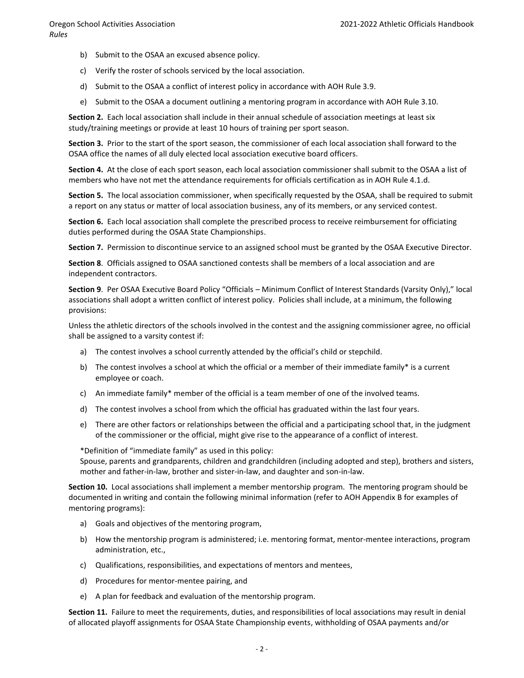- b) Submit to the OSAA an excused absence policy.
- c) Verify the roster of schools serviced by the local association.
- d) Submit to the OSAA a conflict of interest policy in accordance with AOH Rule 3.9.
- e) Submit to the OSAA a document outlining a mentoring program in accordance with AOH Rule 3.10.

**Section 2.** Each local association shall include in their annual schedule of association meetings at least six study/training meetings or provide at least 10 hours of training per sport season.

**Section 3.** Prior to the start of the sport season, the commissioner of each local association shall forward to the OSAA office the names of all duly elected local association executive board officers.

**Section 4.** At the close of each sport season, each local association commissioner shall submit to the OSAA a list of members who have not met the attendance requirements for officials certification as in AOH Rule 4.1.d.

**Section 5.** The local association commissioner, when specifically requested by the OSAA, shall be required to submit a report on any status or matter of local association business, any of its members, or any serviced contest.

**Section 6.** Each local association shall complete the prescribed process to receive reimbursement for officiating duties performed during the OSAA State Championships.

**Section 7.** Permission to discontinue service to an assigned school must be granted by the OSAA Executive Director.

**Section 8**. Officials assigned to OSAA sanctioned contests shall be members of a local association and are independent contractors.

**Section 9**. Per OSAA Executive Board Policy "Officials – Minimum Conflict of Interest Standards (Varsity Only)," local associations shall adopt a written conflict of interest policy. Policies shall include, at a minimum, the following provisions:

Unless the athletic directors of the schools involved in the contest and the assigning commissioner agree, no official shall be assigned to a varsity contest if:

- a) The contest involves a school currently attended by the official's child or stepchild.
- b) The contest involves a school at which the official or a member of their immediate family\* is a current employee or coach.
- c) An immediate family\* member of the official is a team member of one of the involved teams.
- d) The contest involves a school from which the official has graduated within the last four years.
- e) There are other factors or relationships between the official and a participating school that, in the judgment of the commissioner or the official, might give rise to the appearance of a conflict of interest.

\*Definition of "immediate family" as used in this policy:

Spouse, parents and grandparents, children and grandchildren (including adopted and step), brothers and sisters, mother and father-in-law, brother and sister-in-law, and daughter and son-in-law.

**Section 10.** Local associations shall implement a member mentorship program. The mentoring program should be documented in writing and contain the following minimal information (refer to AOH Appendix B for examples of mentoring programs):

- a) Goals and objectives of the mentoring program,
- b) How the mentorship program is administered; i.e. mentoring format, mentor-mentee interactions, program administration, etc.,
- c) Qualifications, responsibilities, and expectations of mentors and mentees,
- d) Procedures for mentor-mentee pairing, and
- e) A plan for feedback and evaluation of the mentorship program.

**Section 11.** Failure to meet the requirements, duties, and responsibilities of local associations may result in denial of allocated playoff assignments for OSAA State Championship events, withholding of OSAA payments and/or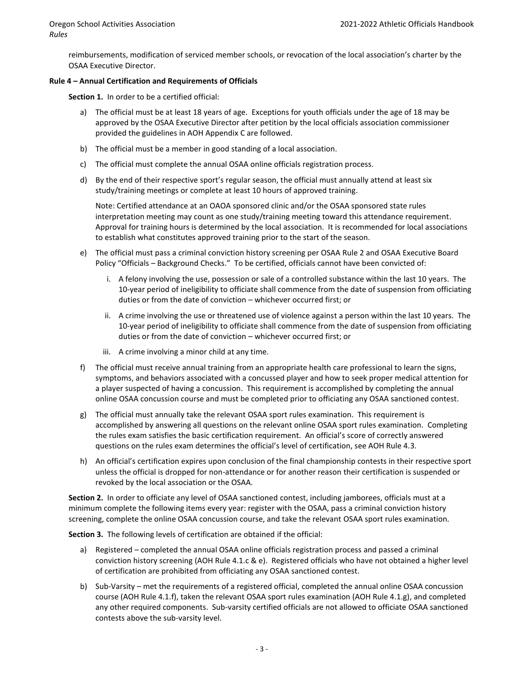reimbursements, modification of serviced member schools, or revocation of the local association's charter by the OSAA Executive Director.

### **Rule 4 – Annual Certification and Requirements of Officials**

**Section 1.** In order to be a certified official:

- a) The official must be at least 18 years of age. Exceptions for youth officials under the age of 18 may be approved by the OSAA Executive Director after petition by the local officials association commissioner provided the guidelines in AOH Appendix C are followed.
- b) The official must be a member in good standing of a local association.
- c) The official must complete the annual OSAA online officials registration process.
- d) By the end of their respective sport's regular season, the official must annually attend at least six study/training meetings or complete at least 10 hours of approved training.

Note: Certified attendance at an OAOA sponsored clinic and/or the OSAA sponsored state rules interpretation meeting may count as one study/training meeting toward this attendance requirement. Approval for training hours is determined by the local association. It is recommended for local associations to establish what constitutes approved training prior to the start of the season.

- e) The official must pass a criminal conviction history screening per OSAA Rule 2 and OSAA Executive Board Policy "Officials – Background Checks." To be certified, officials cannot have been convicted of:
	- i. A felony involving the use, possession or sale of a controlled substance within the last 10 years. The 10-year period of ineligibility to officiate shall commence from the date of suspension from officiating duties or from the date of conviction – whichever occurred first; or
	- ii. A crime involving the use or threatened use of violence against a person within the last 10 years. The 10-year period of ineligibility to officiate shall commence from the date of suspension from officiating duties or from the date of conviction – whichever occurred first; or
	- iii. A crime involving a minor child at any time.
- f) The official must receive annual training from an appropriate health care professional to learn the signs, symptoms, and behaviors associated with a concussed player and how to seek proper medical attention for a player suspected of having a concussion.This requirement is accomplished by completing the annual online OSAA concussion course and must be completed prior to officiating any OSAA sanctioned contest.
- g) The official must annually take the relevant OSAA sport rules examination. This requirement is accomplished by answering all questions on the relevant online OSAA sport rules examination. Completing the rules exam satisfies the basic certification requirement. An official's score of correctly answered questions on the rules exam determines the official's level of certification, see AOH Rule 4.3.
- h) An official's certification expires upon conclusion of the final championship contests in their respective sport unless the official is dropped for non-attendance or for another reason their certification is suspended or revoked by the local association or the OSAA.

**Section 2.** In order to officiate any level of OSAA sanctioned contest, including jamborees, officials must at a minimum complete the following items every year: register with the OSAA, pass a criminal conviction history screening, complete the online OSAA concussion course, and take the relevant OSAA sport rules examination.

**Section 3.** The following levels of certification are obtained if the official:

- a) Registered completed the annual OSAA online officials registration process and passed a criminal conviction history screening (AOH Rule 4.1.c & e). Registered officials who have not obtained a higher level of certification are prohibited from officiating any OSAA sanctioned contest.
- b) Sub-Varsity met the requirements of a registered official, completed the annual online OSAA concussion course (AOH Rule 4.1.f), taken the relevant OSAA sport rules examination (AOH Rule 4.1.g), and completed any other required components. Sub-varsity certified officials are not allowed to officiate OSAA sanctioned contests above the sub-varsity level.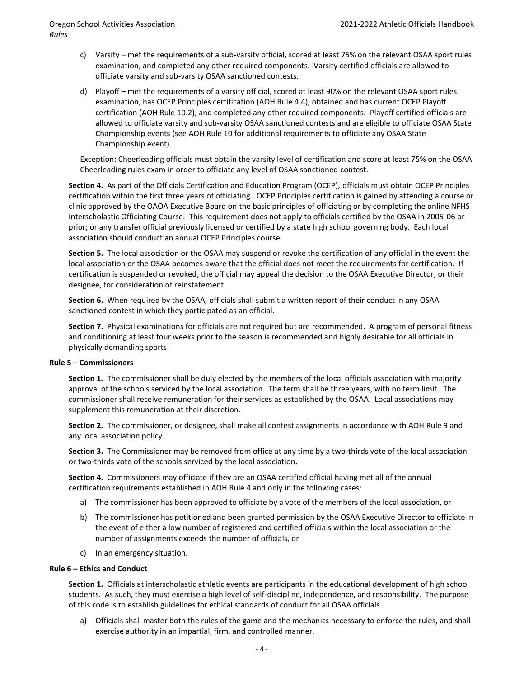- c) Varsity met the requirements of a sub-varsity official, scored at least 75% on the relevant OSAA sport rules examination, and completed any other required components. Varsity certified officials are allowed to officiate varsity and sub-varsity OSAA sanctioned contests.
- d) Playoff met the requirements of a varsity official, scored at least 90% on the relevant OSAA sport rules examination, has OCEP Principles certification (AOH Rule 4.4), obtained and has current OCEP Playoff certification (AOH Rule 10.2), and completed any other required components. Playoff certified officials are allowed to officiate varsity and sub-varsity OSAA sanctioned contests and are eligible to officiate OSAA State Championship events (see AOH Rule 10 for additional requirements to officiate any OSAA State Championship event).

Exception: Cheerleading officials must obtain the varsity level of certification and score at least 75% on the OSAA Cheerleading rules exam in order to officiate any level of OSAA sanctioned contest.

**Section 4.** As part of the Officials Certification and Education Program (OCEP), officials must obtain OCEP Principles certification within the first three years of officiating. OCEP Principles certification is gained by attending a course or clinic approved by the OAOA Executive Board on the basic principles of officiating or by completing the online NFHS Interscholastic Officiating Course. This requirement does not apply to officials certified by the OSAA in 2005-06 or prior; or any transfer official previously licensed or certified by a state high school governing body. Each local association should conduct an annual OCEP Principles course.

**Section 5.** The local association or the OSAA may suspend or revoke the certification of any official in the event the local association or the OSAA becomes aware that the official does not meet the requirements for certification*.* If certification is suspended or revoked, the official may appeal the decision to the OSAA Executive Director, or their designee, for consideration of reinstatement.

**Section 6.** When required by the OSAA, officials shall submit a written report of their conduct in any OSAA sanctioned contest in which they participated as an official.

**Section 7.** Physical examinations for officials are not required but are recommended. A program of personal fitness and conditioning at least four weeks prior to the season is recommended and highly desirable for all officials in physically demanding sports.

### **Rule 5 – Commissioners**

**Section 1.** The commissioner shall be duly elected by the members of the local officials association with majority approval of the schools serviced by the local association. The term shall be three years, with no term limit. The commissioner shall receive remuneration for their services as established by the OSAA. Local associations may supplement this remuneration at their discretion.

**Section 2.** The commissioner, or designee, shall make all contest assignments in accordance with AOH Rule 9 and any local association policy.

**Section 3.** The Commissioner may be removed from office at any time by a two-thirds vote of the local association or two-thirds vote of the schools serviced by the local association.

**Section 4.** Commissioners may officiate if they are an OSAA certified official having met all of the annual certification requirements established in AOH Rule 4 and only in the following cases:

- a) The commissioner has been approved to officiate by a vote of the members of the local association, or
- b) The commissioner has petitioned and been granted permission by the OSAA Executive Director to officiate in the event of either a low number of registered and certified officials within the local association or the number of assignments exceeds the number of officials, or
- c) In an emergency situation.

### **Rule 6 – Ethics and Conduct**

**Section 1.** Officials at interscholastic athletic events are participants in the educational development of high school students. As such, they must exercise a high level of self-discipline, independence, and responsibility. The purpose of this code is to establish guidelines for ethical standards of conduct for all OSAA officials.

a) Officials shall master both the rules of the game and the mechanics necessary to enforce the rules, and shall exercise authority in an impartial, firm, and controlled manner.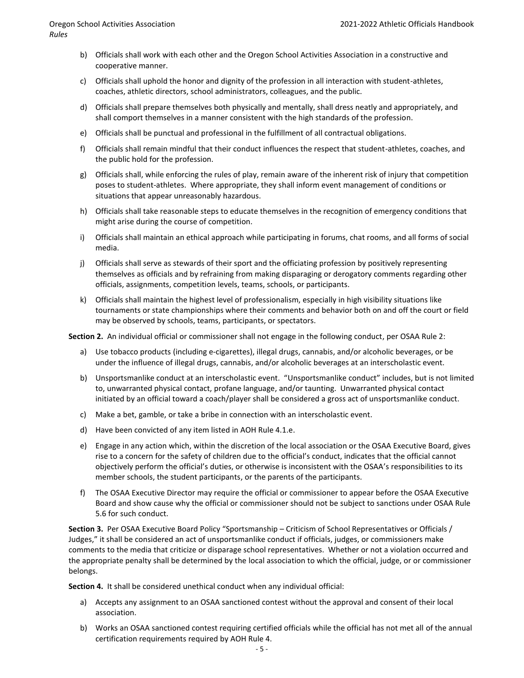- b) Officials shall work with each other and the Oregon School Activities Association in a constructive and cooperative manner.
- c) Officials shall uphold the honor and dignity of the profession in all interaction with student-athletes, coaches, athletic directors, school administrators, colleagues, and the public.
- d) Officials shall prepare themselves both physically and mentally, shall dress neatly and appropriately, and shall comport themselves in a manner consistent with the high standards of the profession.
- e) Officials shall be punctual and professional in the fulfillment of all contractual obligations.
- f) Officials shall remain mindful that their conduct influences the respect that student-athletes, coaches, and the public hold for the profession.
- g) Officials shall, while enforcing the rules of play, remain aware of the inherent risk of injury that competition poses to student-athletes. Where appropriate, they shall inform event management of conditions or situations that appear unreasonably hazardous.
- h) Officials shall take reasonable steps to educate themselves in the recognition of emergency conditions that might arise during the course of competition.
- i) Officials shall maintain an ethical approach while participating in forums, chat rooms, and all forms of social media.
- j) Officials shall serve as stewards of their sport and the officiating profession by positively representing themselves as officials and by refraining from making disparaging or derogatory comments regarding other officials, assignments, competition levels, teams, schools, or participants.
- k) Officials shall maintain the highest level of professionalism, especially in high visibility situations like tournaments or state championships where their comments and behavior both on and off the court or field may be observed by schools, teams, participants, or spectators.

**Section 2.** An individual official or commissioner shall not engage in the following conduct, per OSAA Rule 2:

- a) Use tobacco products (including e-cigarettes), illegal drugs, cannabis, and/or alcoholic beverages, or be under the influence of illegal drugs, cannabis, and/or alcoholic beverages at an interscholastic event.
- b) Unsportsmanlike conduct at an interscholastic event. "Unsportsmanlike conduct" includes, but is not limited to, unwarranted physical contact, profane language, and/or taunting. Unwarranted physical contact initiated by an official toward a coach/player shall be considered a gross act of unsportsmanlike conduct.
- c) Make a bet, gamble, or take a bribe in connection with an interscholastic event.
- d) Have been convicted of any item listed in AOH Rule 4.1.e.
- e) Engage in any action which, within the discretion of the local association or the OSAA Executive Board, gives rise to a concern for the safety of children due to the official's conduct, indicates that the official cannot objectively perform the official's duties, or otherwise is inconsistent with the OSAA's responsibilities to its member schools, the student participants, or the parents of the participants.
- f) The OSAA Executive Director may require the official or commissioner to appear before the OSAA Executive Board and show cause why the official or commissioner should not be subject to sanctions under OSAA Rule 5.6 for such conduct.

**Section 3.** Per OSAA Executive Board Policy "Sportsmanship – Criticism of School Representatives or Officials / Judges," it shall be considered an act of unsportsmanlike conduct if officials, judges, or commissioners make comments to the media that criticize or disparage school representatives. Whether or not a violation occurred and the appropriate penalty shall be determined by the local association to which the official, judge, or or commissioner belongs.

**Section 4.** It shall be considered unethical conduct when any individual official:

- a) Accepts any assignment to an OSAA sanctioned contest without the approval and consent of their local association.
- b) Works an OSAA sanctioned contest requiring certified officials while the official has not met all of the annual certification requirements required by AOH Rule 4.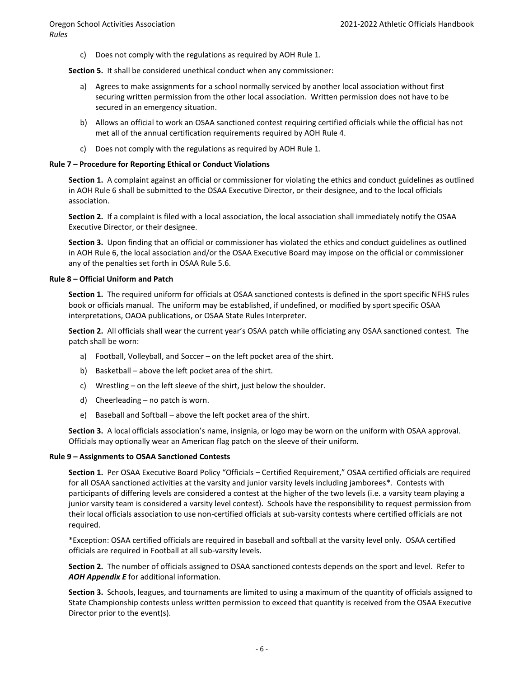c) Does not comply with the regulations as required by AOH Rule 1.

**Section 5.** It shall be considered unethical conduct when any commissioner:

- a) Agrees to make assignments for a school normally serviced by another local association without first securing written permission from the other local association. Written permission does not have to be secured in an emergency situation.
- b) Allows an official to work an OSAA sanctioned contest requiring certified officials while the official has not met all of the annual certification requirements required by AOH Rule 4.
- c) Does not comply with the regulations as required by AOH Rule 1.

### **Rule 7 – Procedure for Reporting Ethical or Conduct Violations**

**Section 1.** A complaint against an official or commissioner for violating the ethics and conduct guidelines as outlined in AOH Rule 6 shall be submitted to the OSAA Executive Director, or their designee, and to the local officials association.

**Section 2.** If a complaint is filed with a local association, the local association shall immediately notify the OSAA Executive Director, or their designee.

**Section 3.** Upon finding that an official or commissioner has violated the ethics and conduct guidelines as outlined in AOH Rule 6, the local association and/or the OSAA Executive Board may impose on the official or commissioner any of the penalties set forth in OSAA Rule 5.6.

### **Rule 8 – Official Uniform and Patch**

**Section 1.** The required uniform for officials at OSAA sanctioned contests is defined in the sport specific NFHS rules book or officials manual. The uniform may be established, if undefined, or modified by sport specific OSAA interpretations, OAOA publications, or OSAA State Rules Interpreter.

**Section 2.** All officials shall wear the current year's OSAA patch while officiating any OSAA sanctioned contest. The patch shall be worn:

- a) Football, Volleyball, and Soccer on the left pocket area of the shirt.
- b) Basketball above the left pocket area of the shirt.
- c) Wrestling on the left sleeve of the shirt, just below the shoulder.
- d) Cheerleading no patch is worn.
- e) Baseball and Softball above the left pocket area of the shirt.

**Section 3.** A local officials association's name, insignia, or logo may be worn on the uniform with OSAA approval. Officials may optionally wear an American flag patch on the sleeve of their uniform.

### **Rule 9 – Assignments to OSAA Sanctioned Contests**

**Section 1.** Per OSAA Executive Board Policy "Officials – Certified Requirement," OSAA certified officials are required for all OSAA sanctioned activities at the varsity and junior varsity levels including jamborees\*. Contests with participants of differing levels are considered a contest at the higher of the two levels (i.e. a varsity team playing a junior varsity team is considered a varsity level contest). Schools have the responsibility to request permission from their local officials association to use non-certified officials at sub-varsity contests where certified officials are not required.

\*Exception: OSAA certified officials are required in baseball and softball at the varsity level only. OSAA certified officials are required in Football at all sub-varsity levels.

**Section 2.** The number of officials assigned to OSAA sanctioned contests depends on the sport and level. Refer to *AOH Appendix E* for additional information.

**Section 3.** Schools, leagues, and tournaments are limited to using a maximum of the quantity of officials assigned to State Championship contests unless written permission to exceed that quantity is received from the OSAA Executive Director prior to the event(s).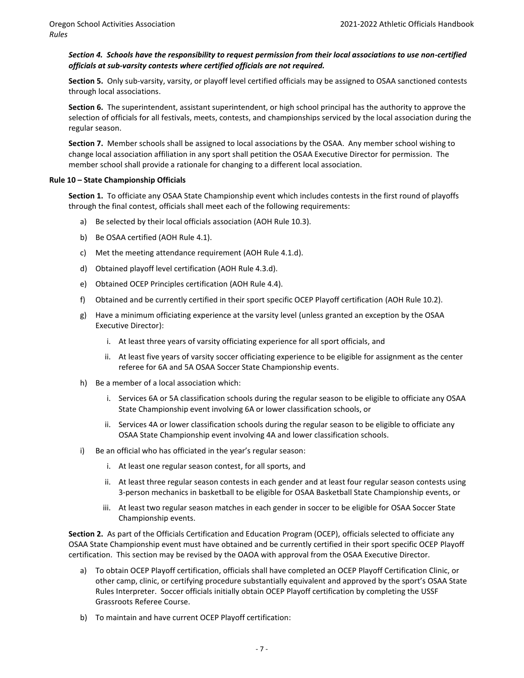### *Section 4. Schools have the responsibility to request permission from their local associations to use non-certified officials at sub-varsity contests where certified officials are not required.*

**Section 5.** Only sub-varsity, varsity, or playoff level certified officials may be assigned to OSAA sanctioned contests through local associations.

**Section 6.** The superintendent, assistant superintendent, or high school principal has the authority to approve the selection of officials for all festivals, meets, contests, and championships serviced by the local association during the regular season.

**Section 7.** Member schools shall be assigned to local associations by the OSAA. Any member school wishing to change local association affiliation in any sport shall petition the OSAA Executive Director for permission. The member school shall provide a rationale for changing to a different local association.

### **Rule 10 – State Championship Officials**

**Section 1.** To officiate any OSAA State Championship event which includes contests in the first round of playoffs through the final contest, officials shall meet each of the following requirements:

- a) Be selected by their local officials association (AOH Rule 10.3).
- b) Be OSAA certified (AOH Rule 4.1).
- c) Met the meeting attendance requirement (AOH Rule 4.1.d).
- d) Obtained playoff level certification (AOH Rule 4.3.d).
- e) Obtained OCEP Principles certification (AOH Rule 4.4).
- f) Obtained and be currently certified in their sport specific OCEP Playoff certification (AOH Rule 10.2).
- g) Have a minimum officiating experience at the varsity level (unless granted an exception by the OSAA Executive Director):
	- i. At least three years of varsity officiating experience for all sport officials, and
	- ii. At least five years of varsity soccer officiating experience to be eligible for assignment as the center referee for 6A and 5A OSAA Soccer State Championship events.
- h) Be a member of a local association which:
	- i. Services 6A or 5A classification schools during the regular season to be eligible to officiate any OSAA State Championship event involving 6A or lower classification schools, or
	- ii. Services 4A or lower classification schools during the regular season to be eligible to officiate any OSAA State Championship event involving 4A and lower classification schools.
- i) Be an official who has officiated in the year's regular season:
	- i. At least one regular season contest, for all sports, and
	- ii. At least three regular season contests in each gender and at least four regular season contests using 3-person mechanics in basketball to be eligible for OSAA Basketball State Championship events, or
	- iii. At least two regular season matches in each gender in soccer to be eligible for OSAA Soccer State Championship events.

**Section 2.** As part of the Officials Certification and Education Program (OCEP), officials selected to officiate any OSAA State Championship event must have obtained and be currently certified in their sport specific OCEP Playoff certification. This section may be revised by the OAOA with approval from the OSAA Executive Director.

- a) To obtain OCEP Playoff certification, officials shall have completed an OCEP Playoff Certification Clinic, or other camp, clinic, or certifying procedure substantially equivalent and approved by the sport's OSAA State Rules Interpreter. Soccer officials initially obtain OCEP Playoff certification by completing the USSF Grassroots Referee Course.
- b) To maintain and have current OCEP Playoff certification: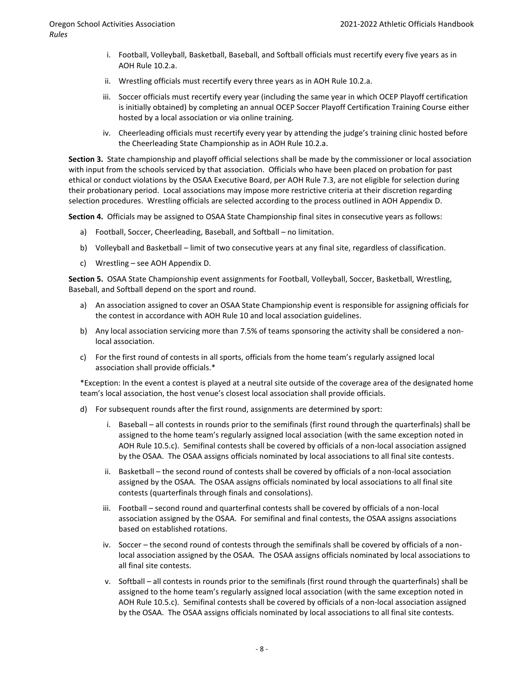- i. Football, Volleyball, Basketball, Baseball, and Softball officials must recertify every five years as in AOH Rule 10.2.a.
- ii. Wrestling officials must recertify every three years as in AOH Rule 10.2.a.
- iii. Soccer officials must recertify every year (including the same year in which OCEP Playoff certification is initially obtained) by completing an annual OCEP Soccer Playoff Certification Training Course either hosted by a local association or via online training.
- iv. Cheerleading officials must recertify every year by attending the judge's training clinic hosted before the Cheerleading State Championship as in AOH Rule 10.2.a.

**Section 3.** State championship and playoff official selections shall be made by the commissioner or local association with input from the schools serviced by that association. Officials who have been placed on probation for past ethical or conduct violations by the OSAA Executive Board, per AOH Rule 7.3, are not eligible for selection during their probationary period. Local associations may impose more restrictive criteria at their discretion regarding selection procedures. Wrestling officials are selected according to the process outlined in AOH Appendix D.

**Section 4.** Officials may be assigned to OSAA State Championship final sites in consecutive years as follows:

- a) Football, Soccer, Cheerleading, Baseball, and Softball no limitation.
- b) Volleyball and Basketball limit of two consecutive years at any final site, regardless of classification.
- c) Wrestling see AOH Appendix D.

**Section 5.** OSAA State Championship event assignments for Football, Volleyball, Soccer, Basketball, Wrestling, Baseball, and Softball depend on the sport and round.

- a) An association assigned to cover an OSAA State Championship event is responsible for assigning officials for the contest in accordance with AOH Rule 10 and local association guidelines.
- b) Any local association servicing more than 7.5% of teams sponsoring the activity shall be considered a nonlocal association.
- c) For the first round of contests in all sports, officials from the home team's regularly assigned local association shall provide officials.\*

\*Exception: In the event a contest is played at a neutral site outside of the coverage area of the designated home team's local association, the host venue's closest local association shall provide officials.

- d) For subsequent rounds after the first round, assignments are determined by sport:
	- i. Baseball all contests in rounds prior to the semifinals (first round through the quarterfinals) shall be assigned to the home team's regularly assigned local association (with the same exception noted in AOH Rule 10.5.c). Semifinal contests shall be covered by officials of a non-local association assigned by the OSAA. The OSAA assigns officials nominated by local associations to all final site contests.
	- ii. Basketball the second round of contests shall be covered by officials of a non-local association assigned by the OSAA. The OSAA assigns officials nominated by local associations to all final site contests (quarterfinals through finals and consolations).
	- iii. Football second round and quarterfinal contests shall be covered by officials of a non-local association assigned by the OSAA. For semifinal and final contests, the OSAA assigns associations based on established rotations.
	- iv. Soccer the second round of contests through the semifinals shall be covered by officials of a nonlocal association assigned by the OSAA. The OSAA assigns officials nominated by local associations to all final site contests.
	- v. Softball all contests in rounds prior to the semifinals (first round through the quarterfinals) shall be assigned to the home team's regularly assigned local association (with the same exception noted in AOH Rule 10.5.c). Semifinal contests shall be covered by officials of a non-local association assigned by the OSAA. The OSAA assigns officials nominated by local associations to all final site contests.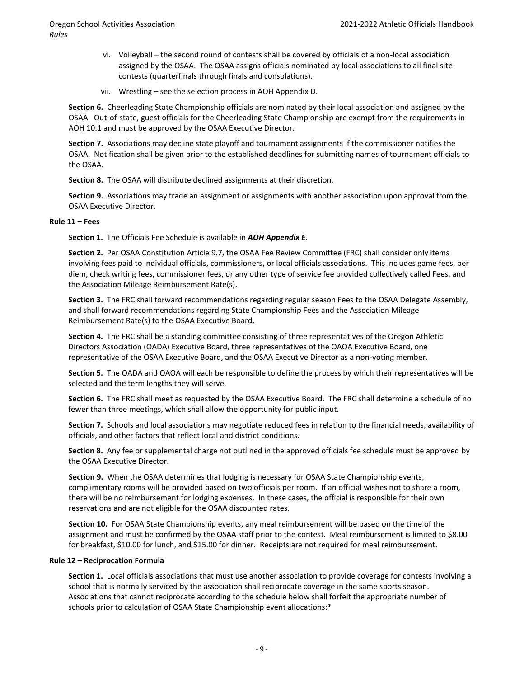- vi. Volleyball the second round of contests shall be covered by officials of a non-local association assigned by the OSAA. The OSAA assigns officials nominated by local associations to all final site contests (quarterfinals through finals and consolations).
- vii. Wrestling see the selection process in AOH Appendix D.

**Section 6.** Cheerleading State Championship officials are nominated by their local association and assigned by the OSAA. Out-of-state, guest officials for the Cheerleading State Championship are exempt from the requirements in AOH 10.1 and must be approved by the OSAA Executive Director.

**Section 7.** Associations may decline state playoff and tournament assignments if the commissioner notifies the OSAA. Notification shall be given prior to the established deadlines for submitting names of tournament officials to the OSAA.

**Section 8.** The OSAA will distribute declined assignments at their discretion.

**Section 9.** Associations may trade an assignment or assignments with another association upon approval from the OSAA Executive Director.

### **Rule 11 – Fees**

**Section 1.** The Officials Fee Schedule is available in *AOH Appendix E*.

**Section 2.** Per OSAA Constitution Article 9.7, the OSAA Fee Review Committee (FRC) shall consider only items involving fees paid to individual officials, commissioners, or local officials associations. This includes game fees, per diem, check writing fees, commissioner fees, or any other type of service fee provided collectively called Fees, and the Association Mileage Reimbursement Rate(s).

**Section 3.** The FRC shall forward recommendations regarding regular season Fees to the OSAA Delegate Assembly, and shall forward recommendations regarding State Championship Fees and the Association Mileage Reimbursement Rate(s) to the OSAA Executive Board.

**Section 4.** The FRC shall be a standing committee consisting of three representatives of the Oregon Athletic Directors Association (OADA) Executive Board, three representatives of the OAOA Executive Board, one representative of the OSAA Executive Board, and the OSAA Executive Director as a non-voting member.

**Section 5.** The OADA and OAOA will each be responsible to define the process by which their representatives will be selected and the term lengths they will serve.

**Section 6.** The FRC shall meet as requested by the OSAA Executive Board. The FRC shall determine a schedule of no fewer than three meetings, which shall allow the opportunity for public input.

**Section 7.** Schools and local associations may negotiate reduced fees in relation to the financial needs, availability of officials, and other factors that reflect local and district conditions.

**Section 8.** Any fee or supplemental charge not outlined in the approved officials fee schedule must be approved by the OSAA Executive Director.

**Section 9.** When the OSAA determines that lodging is necessary for OSAA State Championship events, complimentary rooms will be provided based on two officials per room. If an official wishes not to share a room, there will be no reimbursement for lodging expenses. In these cases, the official is responsible for their own reservations and are not eligible for the OSAA discounted rates.

**Section 10.** For OSAA State Championship events, any meal reimbursement will be based on the time of the assignment and must be confirmed by the OSAA staff prior to the contest. Meal reimbursement is limited to \$8.00 for breakfast, \$10.00 for lunch, and \$15.00 for dinner. Receipts are not required for meal reimbursement.

### **Rule 12 – Reciprocation Formula**

**Section 1.** Local officials associations that must use another association to provide coverage for contests involving a school that is normally serviced by the association shall reciprocate coverage in the same sports season. Associations that cannot reciprocate according to the schedule below shall forfeit the appropriate number of schools prior to calculation of OSAA State Championship event allocations:\*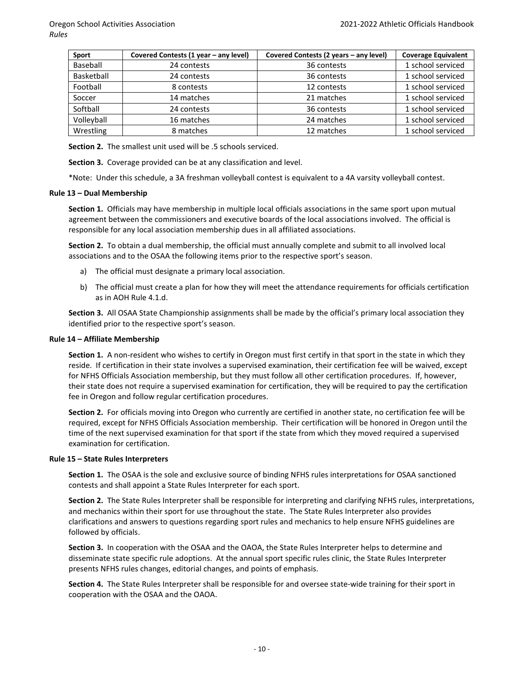| <b>Sport</b> | Covered Contests (1 year - any level) | Covered Contests (2 years - any level) | <b>Coverage Equivalent</b> |
|--------------|---------------------------------------|----------------------------------------|----------------------------|
| Baseball     | 24 contests                           | 36 contests                            | 1 school serviced          |
| Basketball   | 24 contests                           | 36 contests                            | 1 school serviced          |
| Football     | 8 contests                            | 12 contests                            | 1 school serviced          |
| Soccer       | 14 matches                            | 21 matches                             | 1 school serviced          |
| Softball     | 24 contests                           | 36 contests                            | 1 school serviced          |
| Volleyball   | 16 matches                            | 24 matches                             | 1 school serviced          |
| Wrestling    | 8 matches                             | 12 matches                             | 1 school serviced          |

**Section 2.** The smallest unit used will be .5 schools serviced.

**Section 3.** Coverage provided can be at any classification and level.

\*Note: Under this schedule, a 3A freshman volleyball contest is equivalent to a 4A varsity volleyball contest.

### **Rule 13 – Dual Membership**

**Section 1.** Officials may have membership in multiple local officials associations in the same sport upon mutual agreement between the commissioners and executive boards of the local associations involved. The official is responsible for any local association membership dues in all affiliated associations.

**Section 2.** To obtain a dual membership, the official must annually complete and submit to all involved local associations and to the OSAA the following items prior to the respective sport's season.

- a) The official must designate a primary local association.
- b) The official must create a plan for how they will meet the attendance requirements for officials certification as in AOH Rule 4.1.d.

**Section 3.** All OSAA State Championship assignments shall be made by the official's primary local association they identified prior to the respective sport's season.

### **Rule 14 – Affiliate Membership**

**Section 1.** A non-resident who wishes to certify in Oregon must first certify in that sport in the state in which they reside. If certification in their state involves a supervised examination, their certification fee will be waived, except for NFHS Officials Association membership, but they must follow all other certification procedures. If, however, their state does not require a supervised examination for certification, they will be required to pay the certification fee in Oregon and follow regular certification procedures.

**Section 2.** For officials moving into Oregon who currently are certified in another state, no certification fee will be required, except for NFHS Officials Association membership. Their certification will be honored in Oregon until the time of the next supervised examination for that sport if the state from which they moved required a supervised examination for certification.

### **Rule 15 – State Rules Interpreters**

**Section 1.**The OSAA is the sole and exclusive source of binding NFHS rules interpretations for OSAA sanctioned contests and shall appoint a State Rules Interpreter for each sport.

**Section 2.** The State Rules Interpreter shall be responsible for interpreting and clarifying NFHS rules, interpretations, and mechanics within their sport for use throughout the state. The State Rules Interpreter also provides clarifications and answers to questions regarding sport rules and mechanics to help ensure NFHS guidelines are followed by officials.

**Section 3.**In cooperation with the OSAA and the OAOA, the State Rules Interpreter helps to determine and disseminate state specific rule adoptions. At the annual sport specific rules clinic, the State Rules Interpreter presents NFHS rules changes, editorial changes, and points of emphasis.

**Section 4.** The State Rules Interpreter shall be responsible for and oversee state-wide training for their sport in cooperation with the OSAA and the OAOA.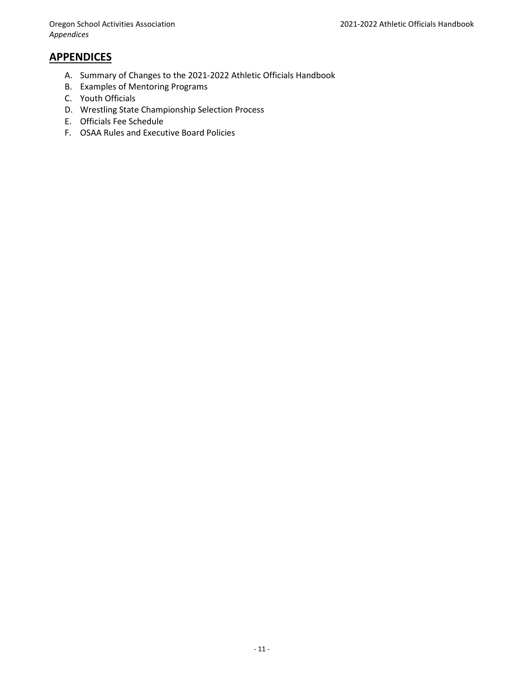### **APPENDICES**

- A. Summary of Changes to the 2021-2022 Athletic Officials Handbook
- B. Examples of Mentoring Programs
- C. Youth Officials
- D. Wrestling State Championship Selection Process
- E. Officials Fee Schedule
- F. OSAA Rules and Executive Board Policies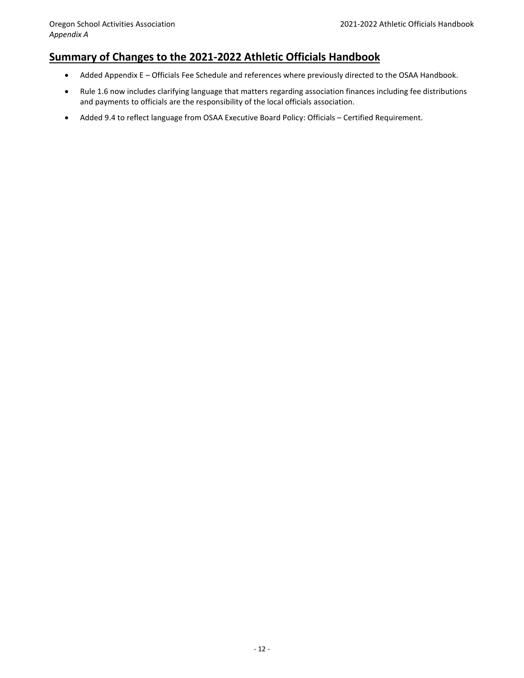### **Summary of Changes to the 2021-2022 Athletic Officials Handbook**

- Added Appendix E Officials Fee Schedule and references where previously directed to the OSAA Handbook.
- Rule 1.6 now includes clarifying language that matters regarding association finances including fee distributions and payments to officials are the responsibility of the local officials association.
- Added 9.4 to reflect language from OSAA Executive Board Policy: Officials Certified Requirement.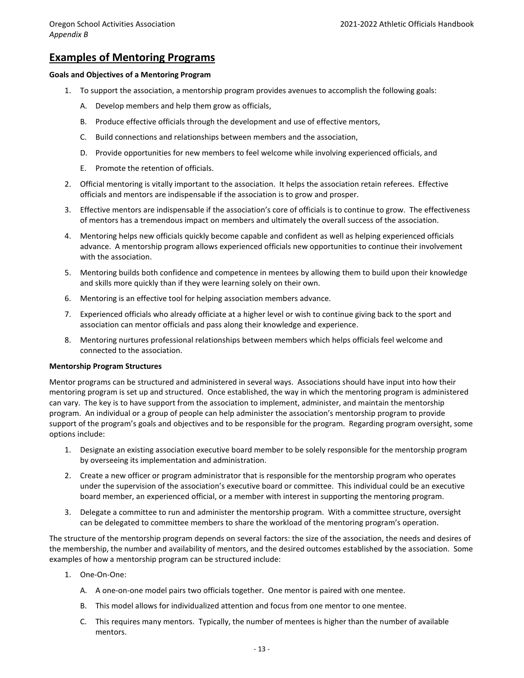### **Examples of Mentoring Programs**

### **Goals and Objectives of a Mentoring Program**

- 1. To support the association, a mentorship program provides avenues to accomplish the following goals:
	- A. Develop members and help them grow as officials,
	- B. Produce effective officials through the development and use of effective mentors,
	- C. Build connections and relationships between members and the association,
	- D. Provide opportunities for new members to feel welcome while involving experienced officials, and
	- E. Promote the retention of officials.
- 2. Official mentoring is vitally important to the association. It helps the association retain referees. Effective officials and mentors are indispensable if the association is to grow and prosper.
- 3. Effective mentors are indispensable if the association's core of officials is to continue to grow. The effectiveness of mentors has a tremendous impact on members and ultimately the overall success of the association.
- 4. Mentoring helps new officials quickly become capable and confident as well as helping experienced officials advance. A mentorship program allows experienced officials new opportunities to continue their involvement with the association.
- 5. Mentoring builds both confidence and competence in mentees by allowing them to build upon their knowledge and skills more quickly than if they were learning solely on their own.
- 6. Mentoring is an effective tool for helping association members advance.
- 7. Experienced officials who already officiate at a higher level or wish to continue giving back to the sport and association can mentor officials and pass along their knowledge and experience.
- 8. Mentoring nurtures professional relationships between members which helps officials feel welcome and connected to the association.

### **Mentorship Program Structures**

Mentor programs can be structured and administered in several ways. Associations should have input into how their mentoring program is set up and structured. Once established, the way in which the mentoring program is administered can vary. The key is to have support from the association to implement, administer, and maintain the mentorship program. An individual or a group of people can help administer the association's mentorship program to provide support of the program's goals and objectives and to be responsible for the program. Regarding program oversight, some options include:

- 1. Designate an existing association executive board member to be solely responsible for the mentorship program by overseeing its implementation and administration.
- 2. Create a new officer or program administrator that is responsible for the mentorship program who operates under the supervision of the association's executive board or committee. This individual could be an executive board member, an experienced official, or a member with interest in supporting the mentoring program.
- 3. Delegate a committee to run and administer the mentorship program. With a committee structure, oversight can be delegated to committee members to share the workload of the mentoring program's operation.

The structure of the mentorship program depends on several factors: the size of the association, the needs and desires of the membership, the number and availability of mentors, and the desired outcomes established by the association. Some examples of how a mentorship program can be structured include:

- 1. One-On-One:
	- A. A one-on-one model pairs two officials together. One mentor is paired with one mentee.
	- B. This model allows for individualized attention and focus from one mentor to one mentee.
	- C. This requires many mentors. Typically, the number of mentees is higher than the number of available mentors.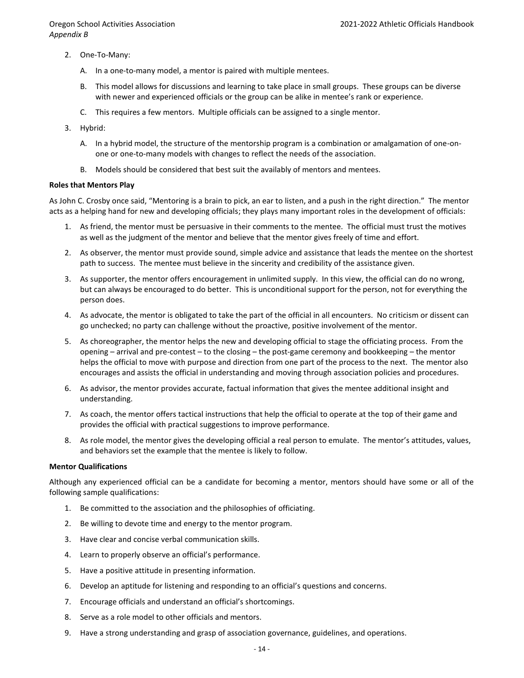- 2. One-To-Many:
	- A. In a one-to-many model, a mentor is paired with multiple mentees.
	- B. This model allows for discussions and learning to take place in small groups. These groups can be diverse with newer and experienced officials or the group can be alike in mentee's rank or experience.
	- C. This requires a few mentors. Multiple officials can be assigned to a single mentor.
- 3. Hybrid:
	- A. In a hybrid model, the structure of the mentorship program is a combination or amalgamation of one-onone or one-to-many models with changes to reflect the needs of the association.
	- B. Models should be considered that best suit the availably of mentors and mentees.

### **Roles that Mentors Play**

As John C. Crosby once said, "Mentoring is a brain to pick, an ear to listen, and a push in the right direction." The mentor acts as a helping hand for new and developing officials; they plays many important roles in the development of officials:

- 1. As friend, the mentor must be persuasive in their comments to the mentee. The official must trust the motives as well as the judgment of the mentor and believe that the mentor gives freely of time and effort.
- 2. As observer, the mentor must provide sound, simple advice and assistance that leads the mentee on the shortest path to success. The mentee must believe in the sincerity and credibility of the assistance given.
- 3. As supporter, the mentor offers encouragement in unlimited supply. In this view, the official can do no wrong, but can always be encouraged to do better. This is unconditional support for the person, not for everything the person does.
- 4. As advocate, the mentor is obligated to take the part of the official in all encounters. No criticism or dissent can go unchecked; no party can challenge without the proactive, positive involvement of the mentor.
- 5. As choreographer, the mentor helps the new and developing official to stage the officiating process. From the opening – arrival and pre-contest – to the closing – the post-game ceremony and bookkeeping – the mentor helps the official to move with purpose and direction from one part of the process to the next. The mentor also encourages and assists the official in understanding and moving through association policies and procedures.
- 6. As advisor, the mentor provides accurate, factual information that gives the mentee additional insight and understanding.
- 7. As coach, the mentor offers tactical instructions that help the official to operate at the top of their game and provides the official with practical suggestions to improve performance.
- 8. As role model, the mentor gives the developing official a real person to emulate. The mentor's attitudes, values, and behaviors set the example that the mentee is likely to follow.

### **Mentor Qualifications**

Although any experienced official can be a candidate for becoming a mentor, mentors should have some or all of the following sample qualifications:

- 1. Be committed to the association and the philosophies of officiating.
- 2. Be willing to devote time and energy to the mentor program.
- 3. Have clear and concise verbal communication skills.
- 4. Learn to properly observe an official's performance.
- 5. Have a positive attitude in presenting information.
- 6. Develop an aptitude for listening and responding to an official's questions and concerns.
- 7. Encourage officials and understand an official's shortcomings.
- 8. Serve as a role model to other officials and mentors.
- 9. Have a strong understanding and grasp of association governance, guidelines, and operations.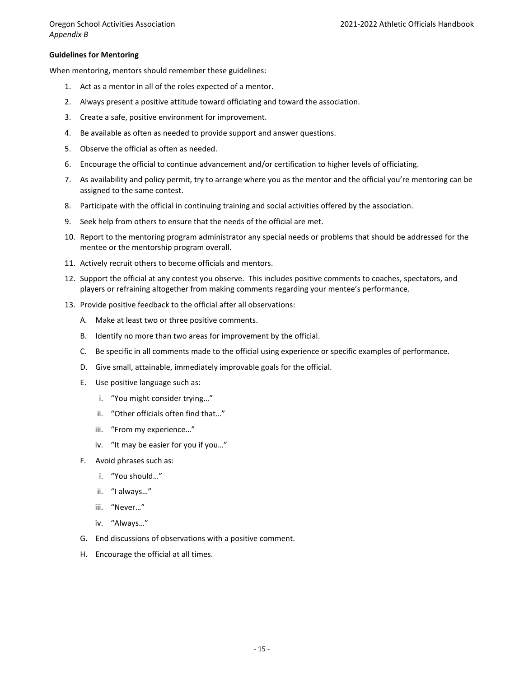### **Guidelines for Mentoring**

When mentoring, mentors should remember these guidelines:

- 1. Act as a mentor in all of the roles expected of a mentor.
- 2. Always present a positive attitude toward officiating and toward the association.
- 3. Create a safe, positive environment for improvement.
- 4. Be available as often as needed to provide support and answer questions.
- 5. Observe the official as often as needed.
- 6. Encourage the official to continue advancement and/or certification to higher levels of officiating.
- 7. As availability and policy permit, try to arrange where you as the mentor and the official you're mentoring can be assigned to the same contest.
- 8. Participate with the official in continuing training and social activities offered by the association.
- 9. Seek help from others to ensure that the needs of the official are met.
- 10. Report to the mentoring program administrator any special needs or problems that should be addressed for the mentee or the mentorship program overall.
- 11. Actively recruit others to become officials and mentors.
- 12. Support the official at any contest you observe. This includes positive comments to coaches, spectators, and players or refraining altogether from making comments regarding your mentee's performance.
- 13. Provide positive feedback to the official after all observations:
	- A. Make at least two or three positive comments.
	- B. Identify no more than two areas for improvement by the official.
	- C. Be specific in all comments made to the official using experience or specific examples of performance.
	- D. Give small, attainable, immediately improvable goals for the official.
	- E. Use positive language such as:
		- i. "You might consider trying…"
		- ii. "Other officials often find that…"
		- iii. "From my experience…"
		- iv. "It may be easier for you if you…"
	- F. Avoid phrases such as:
		- i. "You should…"
		- ii. "I always…"
		- iii. "Never…"
		- iv. "Always…"
	- G. End discussions of observations with a positive comment.
	- H. Encourage the official at all times.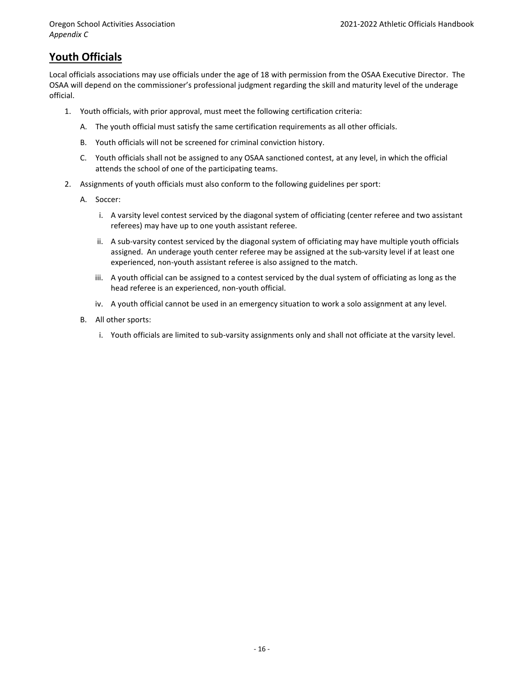### **Youth Officials**

Local officials associations may use officials under the age of 18 with permission from the OSAA Executive Director. The OSAA will depend on the commissioner's professional judgment regarding the skill and maturity level of the underage official.

- 1. Youth officials, with prior approval, must meet the following certification criteria:
	- A. The youth official must satisfy the same certification requirements as all other officials.
	- B. Youth officials will not be screened for criminal conviction history.
	- C. Youth officials shall not be assigned to any OSAA sanctioned contest, at any level, in which the official attends the school of one of the participating teams.
- 2. Assignments of youth officials must also conform to the following guidelines per sport:
	- A. Soccer:
		- i. A varsity level contest serviced by the diagonal system of officiating (center referee and two assistant referees) may have up to one youth assistant referee.
		- ii. A sub-varsity contest serviced by the diagonal system of officiating may have multiple youth officials assigned. An underage youth center referee may be assigned at the sub-varsity level if at least one experienced, non-youth assistant referee is also assigned to the match.
		- iii. A youth official can be assigned to a contest serviced by the dual system of officiating as long as the head referee is an experienced, non-youth official.
		- iv. A youth official cannot be used in an emergency situation to work a solo assignment at any level.
	- B. All other sports:
		- i. Youth officials are limited to sub-varsity assignments only and shall not officiate at the varsity level.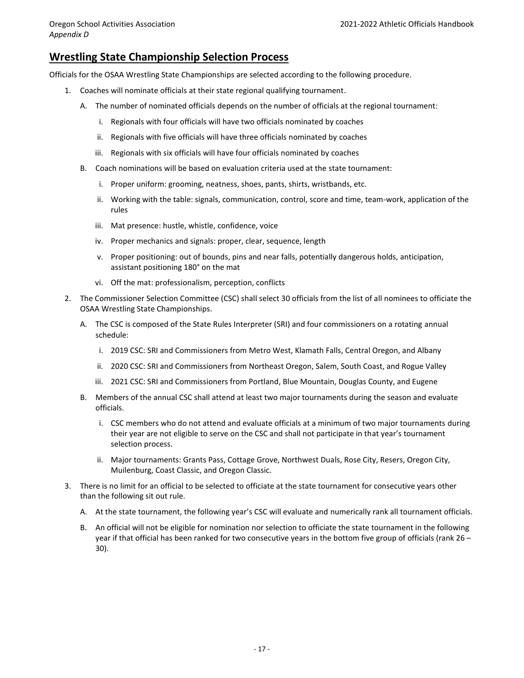### **Wrestling State Championship Selection Process**

Officials for the OSAA Wrestling State Championships are selected according to the following procedure.

- 1. Coaches will nominate officials at their state regional qualifying tournament.
	- A. The number of nominated officials depends on the number of officials at the regional tournament:
		- i. Regionals with four officials will have two officials nominated by coaches
		- ii. Regionals with five officials will have three officials nominated by coaches
		- iii. Regionals with six officials will have four officials nominated by coaches
	- B. Coach nominations will be based on evaluation criteria used at the state tournament:
		- i. Proper uniform: grooming, neatness, shoes, pants, shirts, wristbands, etc.
		- ii. Working with the table: signals, communication, control, score and time, team-work, application of the rules
		- iii. Mat presence: hustle, whistle, confidence, voice
		- iv. Proper mechanics and signals: proper, clear, sequence, length
		- v. Proper positioning: out of bounds, pins and near falls, potentially dangerous holds, anticipation, assistant positioning 180° on the mat
		- vi. Off the mat: professionalism, perception, conflicts
- 2. The Commissioner Selection Committee (CSC) shall select 30 officials from the list of all nominees to officiate the OSAA Wrestling State Championships.
	- A. The CSC is composed of the State Rules Interpreter (SRI) and four commissioners on a rotating annual schedule:
		- i. 2019 CSC: SRI and Commissioners from Metro West, Klamath Falls, Central Oregon, and Albany
		- ii. 2020 CSC: SRI and Commissioners from Northeast Oregon, Salem, South Coast, and Rogue Valley
		- iii. 2021 CSC: SRI and Commissioners from Portland, Blue Mountain, Douglas County, and Eugene
	- B. Members of the annual CSC shall attend at least two major tournaments during the season and evaluate officials.
		- i. CSC members who do not attend and evaluate officials at a minimum of two major tournaments during their year are not eligible to serve on the CSC and shall not participate in that year's tournament selection process.
		- ii. Major tournaments: Grants Pass, Cottage Grove, Northwest Duals, Rose City, Resers, Oregon City, Muilenburg, Coast Classic, and Oregon Classic.
- 3. There is no limit for an official to be selected to officiate at the state tournament for consecutive years other than the following sit out rule.
	- A. At the state tournament, the following year's CSC will evaluate and numerically rank all tournament officials.
	- B. An official will not be eligible for nomination nor selection to officiate the state tournament in the following year if that official has been ranked for two consecutive years in the bottom five group of officials (rank 26 – 30).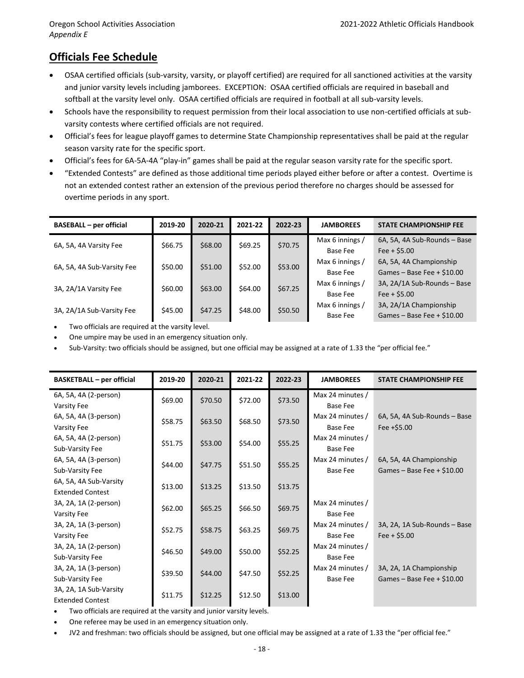### **Officials Fee Schedule**

- OSAA certified officials (sub-varsity, varsity, or playoff certified) are required for all sanctioned activities at the varsity and junior varsity levels including jamborees. EXCEPTION: OSAA certified officials are required in baseball and softball at the varsity level only. OSAA certified officials are required in football at all sub-varsity levels.
- Schools have the responsibility to request permission from their local association to use non-certified officials at subvarsity contests where certified officials are not required.
- Official's fees for league playoff games to determine State Championship representatives shall be paid at the regular season varsity rate for the specific sport.
- Official's fees for 6A-5A-4A "play-in" games shall be paid at the regular season varsity rate for the specific sport.
- "Extended Contests" are defined as those additional time periods played either before or after a contest. Overtime is not an extended contest rather an extension of the previous period therefore no charges should be assessed for overtime periods in any sport.

| <b>BASEBALL - per official</b> | 2019-20 | 2020-21 | 2021-22 | 2022-23 | <b>JAMBOREES</b> | <b>STATE CHAMPIONSHIP FEE</b> |
|--------------------------------|---------|---------|---------|---------|------------------|-------------------------------|
| 6A, 5A, 4A Varsity Fee         | \$66.75 | \$68.00 | \$69.25 | \$70.75 | Max 6 innings /  | 6A, 5A, 4A Sub-Rounds - Base  |
|                                |         |         |         |         | Base Fee         | $Fee + $5.00$                 |
| 6A, 5A, 4A Sub-Varsity Fee     | \$50.00 | \$51.00 | \$52.00 | \$53.00 | Max 6 innings /  | 6A, 5A, 4A Championship       |
|                                |         |         |         |         | Base Fee         | Games - Base Fee $+$ \$10.00  |
| 3A, 2A/1A Varsity Fee          | \$60.00 | \$63.00 | \$64.00 | \$67.25 | Max 6 innings /  | 3A, 2A/1A Sub-Rounds - Base   |
|                                |         |         |         |         | Base Fee         | $Fee + $5.00$                 |
|                                |         |         |         | \$50.50 | Max 6 innings /  | 3A, 2A/1A Championship        |
| 3A, 2A/1A Sub-Varsity Fee      | \$45.00 | \$47.25 | \$48.00 |         | Base Fee         | Games - Base Fee $+$ \$10.00  |

• Two officials are required at the varsity level.

• One umpire may be used in an emergency situation only.

• Sub-Varsity: two officials should be assigned, but one official may be assigned at a rate of 1.33 the "per official fee."

| <b>BASKETBALL - per official</b>                  | 2019-20 | 2020-21 | 2021-22 | 2022-23 | <b>JAMBOREES</b>                    | <b>STATE CHAMPIONSHIP FEE</b>                          |
|---------------------------------------------------|---------|---------|---------|---------|-------------------------------------|--------------------------------------------------------|
| 6A, 5A, 4A (2-person)<br>Varsity Fee              | \$69.00 | \$70.50 | \$72.00 | \$73.50 | Max 24 minutes /<br><b>Base Fee</b> |                                                        |
| 6A, 5A, 4A (3-person)                             | \$58.75 | \$63.50 | \$68.50 | \$73.50 | Max 24 minutes /                    | 6A, 5A, 4A Sub-Rounds - Base                           |
| Varsity Fee<br>6A, 5A, 4A (2-person)              | \$51.75 | \$53.00 | \$54.00 | \$55.25 | <b>Base Fee</b><br>Max 24 minutes / | Fee $+55.00$                                           |
| Sub-Varsity Fee<br>6A, 5A, 4A (3-person)          |         |         |         |         | <b>Base Fee</b><br>Max 24 minutes / | 6A, 5A, 4A Championship                                |
| Sub-Varsity Fee                                   | \$44.00 | \$47.75 | \$51.50 | \$55.25 | <b>Base Fee</b>                     | Games - Base Fee + $$10.00$                            |
| 6A, 5A, 4A Sub-Varsity<br><b>Extended Contest</b> | \$13.00 | \$13.25 | \$13.50 | \$13.75 |                                     |                                                        |
| 3A, 2A, 1A (2-person)<br>Varsity Fee              | \$62.00 | \$65.25 | \$66.50 | \$69.75 | Max 24 minutes /<br><b>Base Fee</b> |                                                        |
| 3A, 2A, 1A (3-person)<br>Varsity Fee              | \$52.75 | \$58.75 | \$63.25 | \$69.75 | Max 24 minutes /<br><b>Base Fee</b> | 3A, 2A, 1A Sub-Rounds - Base<br>Fee $+$ \$5.00         |
| 3A, 2A, 1A (2-person)<br>Sub-Varsity Fee          | \$46.50 | \$49.00 | \$50.00 | \$52.25 | Max 24 minutes /<br><b>Base Fee</b> |                                                        |
| 3A, 2A, 1A (3-person)<br>Sub-Varsity Fee          | \$39.50 | \$44.00 | \$47.50 | \$52.25 | Max 24 minutes /<br><b>Base Fee</b> | 3A, 2A, 1A Championship<br>Games - Base Fee + $$10.00$ |
| 3A, 2A, 1A Sub-Varsity<br><b>Extended Contest</b> | \$11.75 | \$12.25 | \$12.50 | \$13.00 |                                     |                                                        |

Two officials are required at the varsity and junior varsity levels.

• One referee may be used in an emergency situation only.

• JV2 and freshman: two officials should be assigned, but one official may be assigned at a rate of 1.33 the "per official fee."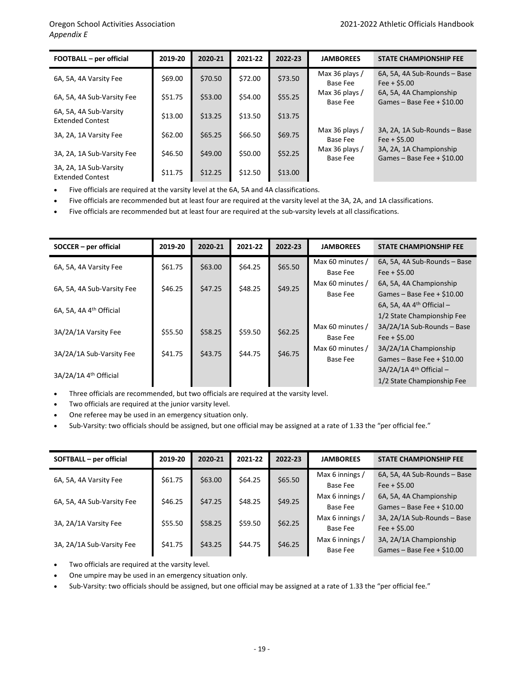| FOOTBALL - per official                           | 2019-20 | 2020-21 | 2021-22 | 2022-23 | <b>JAMBOREES</b>                  | <b>STATE CHAMPIONSHIP FEE</b>                           |
|---------------------------------------------------|---------|---------|---------|---------|-----------------------------------|---------------------------------------------------------|
| 6A, 5A, 4A Varsity Fee                            | \$69.00 | \$70.50 | \$72.00 | \$73.50 | Max 36 plays /<br>Base Fee        | 6A, 5A, 4A Sub-Rounds - Base<br>Fee $+$ \$5.00          |
| 6A, 5A, 4A Sub-Varsity Fee                        | \$51.75 | \$53.00 | \$54.00 | \$55.25 | Max 36 plays /<br><b>Base Fee</b> | 6A, 5A, 4A Championship<br>Games - Base Fee $+$ \$10.00 |
| 6A, 5A, 4A Sub-Varsity<br><b>Extended Contest</b> | \$13.00 | \$13.25 | \$13.50 | \$13.75 |                                   |                                                         |
| 3A, 2A, 1A Varsity Fee                            | \$62.00 | \$65.25 | \$66.50 | \$69.75 | Max 36 plays /<br>Base Fee        | 3A, 2A, 1A Sub-Rounds - Base<br>$Fee + S5.00$           |
| 3A, 2A, 1A Sub-Varsity Fee                        | \$46.50 | \$49.00 | \$50.00 | \$52.25 | Max 36 plays $/$<br>Base Fee      | 3A, 2A, 1A Championship<br>Games - Base Fee $+$ \$10.00 |
| 3A, 2A, 1A Sub-Varsity<br><b>Extended Contest</b> | \$11.75 | \$12.25 | \$12.50 | \$13.00 |                                   |                                                         |

• Five officials are required at the varsity level at the 6A, 5A and 4A classifications.

• Five officials are recommended but at least four are required at the varsity level at the 3A, 2A, and 1A classifications.

• Five officials are recommended but at least four are required at the sub-varsity levels at all classifications.

| $SOCER - per official$              | 2019-20 | 2020-21 | 2021-22 | 2022-23 | <b>JAMBOREES</b> | <b>STATE CHAMPIONSHIP FEE</b>         |  |          |               |
|-------------------------------------|---------|---------|---------|---------|------------------|---------------------------------------|--|----------|---------------|
| 6A, 5A, 4A Varsity Fee              | \$61.75 | \$63.00 | \$64.25 | \$65.50 | Max 60 minutes / | 6A, 5A, 4A Sub-Rounds - Base          |  |          |               |
|                                     |         |         |         |         | Base Fee         | $Fee + $5.00$                         |  |          |               |
| 6A, 5A, 4A Sub-Varsity Fee          | \$46.25 | \$47.25 | \$48.25 | \$49.25 | Max 60 minutes / | 6A, 5A, 4A Championship               |  |          |               |
|                                     |         |         |         |         | Base Fee         | Games – Base Fee + $$10.00$           |  |          |               |
| 6A, 5A, 4A 4 <sup>th</sup> Official |         |         |         |         |                  | 6A, 5A, 4A $4th$ Official $-$         |  |          |               |
|                                     |         |         |         |         |                  | 1/2 State Championship Fee            |  |          |               |
| 3A/2A/1A Varsity Fee                | \$55.50 | \$58.25 | \$59.50 | \$62.25 | Max 60 minutes / | 3A/2A/1A Sub-Rounds - Base            |  |          |               |
|                                     |         |         |         |         |                  |                                       |  | Base Fee | $Fee + S5.00$ |
| 3A/2A/1A Sub-Varsity Fee            | \$41.75 | \$43.75 | \$44.75 | \$46.75 | Max 60 minutes / | 3A/2A/1A Championship                 |  |          |               |
|                                     |         |         |         |         | Base Fee         | Games - Base Fee $+$ \$10.00          |  |          |               |
| 3A/2A/1A 4 <sup>th</sup> Official   |         |         |         |         |                  | $3A/2A/1A$ 4 <sup>th</sup> Official – |  |          |               |
|                                     |         |         |         |         |                  | 1/2 State Championship Fee            |  |          |               |

• Three officials are recommended, but two officials are required at the varsity level.

- Two officials are required at the junior varsity level.
- One referee may be used in an emergency situation only.
- Sub-Varsity: two officials should be assigned, but one official may be assigned at a rate of 1.33 the "per official fee."

| SOFTBALL - per official    | 2019-20 | 2020-21 | 2021-22                       | 2022-23 | <b>JAMBOREES</b> | <b>STATE CHAMPIONSHIP FEE</b> |                             |
|----------------------------|---------|---------|-------------------------------|---------|------------------|-------------------------------|-----------------------------|
| 6A, 5A, 4A Varsity Fee     | \$61.75 | \$63.00 | \$64.25                       | \$65.50 | Max 6 innings /  | 6A, 5A, 4A Sub-Rounds - Base  |                             |
|                            |         |         |                               |         | Base Fee         | Fee $+$ \$5.00                |                             |
| 6A, 5A, 4A Sub-Varsity Fee | \$46.25 | \$47.25 | \$48.25                       | \$49.25 | Max 6 innings /  | 6A, 5A, 4A Championship       |                             |
|                            |         |         |                               |         | Base Fee         | Games - Base Fee $+$ \$10.00  |                             |
|                            | \$55.50 |         | \$62.25<br>\$59.50<br>\$58.25 |         |                  | Max 6 innings /               | 3A, 2A/1A Sub-Rounds - Base |
| 3A, 2A/1A Varsity Fee      |         |         |                               |         | Base Fee         | Fee $+$ \$5.00                |                             |
| 3A, 2A/1A Sub-Varsity Fee  |         | \$43.25 | \$44.75                       |         | Max 6 innings /  | 3A, 2A/1A Championship        |                             |
|                            | \$41.75 |         |                               | \$46.25 | Base Fee         | Games - Base Fee $+$ \$10.00  |                             |

Two officials are required at the varsity level.

• One umpire may be used in an emergency situation only.

• Sub-Varsity: two officials should be assigned, but one official may be assigned at a rate of 1.33 the "per official fee."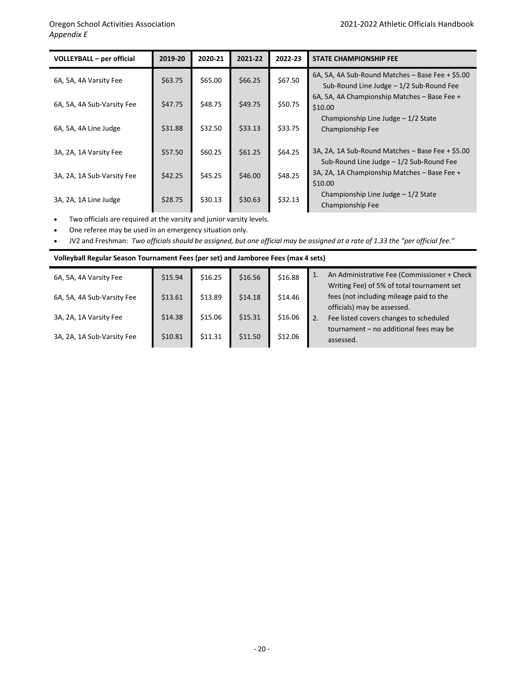| <b>VOLLEYBALL - per official</b> | 2019-20 | 2020-21 | 2021-22 | 2022-23 | <b>STATE CHAMPIONSHIP FEE</b>                                                                |
|----------------------------------|---------|---------|---------|---------|----------------------------------------------------------------------------------------------|
| 6A, 5A, 4A Varsity Fee           | \$63.75 | \$65.00 | \$66.25 | \$67.50 | 6A, 5A, 4A Sub-Round Matches - Base Fee + \$5.00<br>Sub-Round Line Judge - 1/2 Sub-Round Fee |
| 6A, 5A, 4A Sub-Varsity Fee       | \$47.75 | \$48.75 | \$49.75 | \$50.75 | 6A, 5A, 4A Championship Matches - Base Fee +<br>\$10.00                                      |
| 6A, 5A, 4A Line Judge            | \$31.88 | \$32.50 | \$33.13 | \$33.75 | Championship Line Judge - 1/2 State<br>Championship Fee                                      |
| 3A, 2A, 1A Varsity Fee           | \$57.50 | \$60.25 | \$61.25 | \$64.25 | 3A, 2A, 1A Sub-Round Matches - Base Fee + \$5.00<br>Sub-Round Line Judge - 1/2 Sub-Round Fee |
| 3A, 2A, 1A Sub-Varsity Fee       | \$42.25 | \$45.25 | \$46.00 | \$48.25 | 3A, 2A, 1A Championship Matches - Base Fee +<br>\$10.00                                      |
| 3A, 2A, 1A Line Judge            | \$28.75 | \$30.13 | \$30.63 | \$32.13 | Championship Line Judge - 1/2 State<br>Championship Fee                                      |

• Two officials are required at the varsity and junior varsity levels.

• One referee may be used in an emergency situation only.

• JV2 and Freshman: *Two officials should be assigned, but one official may be assigned at a rate of 1.33 the "per official fee."*

| Volleyball Regular Season Tournament Fees (per set) and Jamboree Fees (max 4 sets) |         |         |         |         |                                                                                                 |  |  |  |
|------------------------------------------------------------------------------------|---------|---------|---------|---------|-------------------------------------------------------------------------------------------------|--|--|--|
| 6A, 5A, 4A Varsity Fee                                                             | \$15.94 | \$16.25 | \$16.56 | \$16.88 | An Administrative Fee (Commissioner + Check<br>1.<br>Writing Fee) of 5% of total tournament set |  |  |  |
| 6A, 5A, 4A Sub-Varsity Fee                                                         | \$13.61 | \$13.89 | \$14.18 | \$14.46 | fees (not including mileage paid to the<br>officials) may be assessed.                          |  |  |  |
| 3A, 2A, 1A Varsity Fee                                                             | \$14.38 | \$15.06 | \$15.31 | \$16.06 | Fee listed covers changes to scheduled<br>2.<br>tournament - no additional fees may be          |  |  |  |
| 3A, 2A, 1A Sub-Varsity Fee                                                         | \$10.81 | \$11.31 | \$11.50 | \$12.06 | assessed.                                                                                       |  |  |  |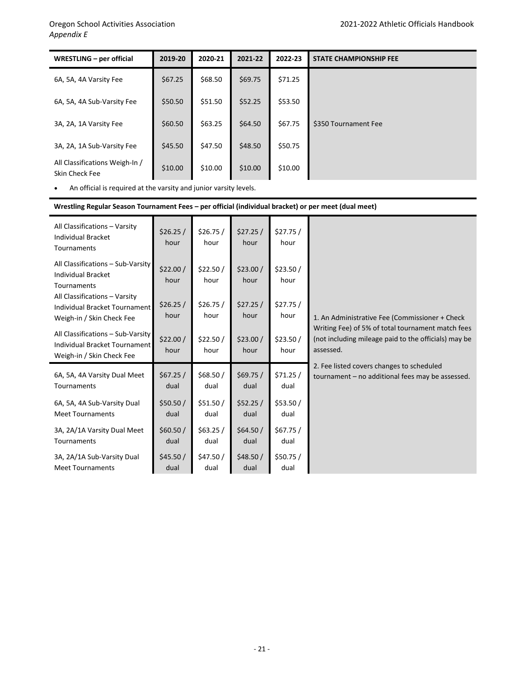| WRESTLING - per official                         | 2019-20 | 2020-21 | 2021-22 | 2022-23 | <b>STATE CHAMPIONSHIP FEE</b> |
|--------------------------------------------------|---------|---------|---------|---------|-------------------------------|
| 6A, 5A, 4A Varsity Fee                           | \$67.25 | \$68.50 | \$69.75 | \$71.25 |                               |
| 6A, 5A, 4A Sub-Varsity Fee                       | \$50.50 | \$51.50 | \$52.25 | \$53.50 |                               |
| 3A, 2A, 1A Varsity Fee                           | \$60.50 | \$63.25 | \$64.50 | \$67.75 | \$350 Tournament Fee          |
| 3A, 2A, 1A Sub-Varsity Fee                       | \$45.50 | \$47.50 | \$48.50 | \$50.75 |                               |
| All Classifications Weigh-In /<br>Skin Check Fee | \$10.00 | \$10.00 | \$10.00 | \$10.00 |                               |

• An official is required at the varsity and junior varsity levels.

### **Wrestling Regular Season Tournament Fees – per official (individual bracket) or per meet (dual meet)**

| All Classifications - Varsity<br><b>Individual Bracket</b><br>Tournaments                       | \$26.25/<br>hour | \$26.75/<br>hour | \$27.25/<br>hour | \$27.75/<br>hour |                                                                                                                        |
|-------------------------------------------------------------------------------------------------|------------------|------------------|------------------|------------------|------------------------------------------------------------------------------------------------------------------------|
| All Classifications - Sub-Varsity<br><b>Individual Bracket</b><br>Tournaments                   | \$22.00/<br>hour | \$22.50/<br>hour | \$23.00/<br>hour | \$23.50/<br>hour |                                                                                                                        |
| All Classifications - Varsity<br>Individual Bracket Tournament<br>Weigh-in / Skin Check Fee     | \$26.25/<br>hour | \$26.75/<br>hour | \$27.25/<br>hour | \$27.75/<br>hour | 1. An Administrative Fee (Commissioner + Check                                                                         |
| All Classifications - Sub-Varsity<br>Individual Bracket Tournament<br>Weigh-in / Skin Check Fee | \$22.00/<br>hour | \$22.50/<br>hour | \$23.00/<br>hour | \$23.50/<br>hour | Writing Fee) of 5% of total tournament match fees<br>(not including mileage paid to the officials) may be<br>assessed. |
| 6A, 5A, 4A Varsity Dual Meet                                                                    | \$67.25/         | \$68.50/         | \$69.75/         | \$71.25/         | 2. Fee listed covers changes to scheduled                                                                              |
| Tournaments                                                                                     | dual             | dual             | dual             | dual             | tournament - no additional fees may be assessed.                                                                       |
| 6A, 5A, 4A Sub-Varsity Dual                                                                     | \$50.50/         | \$51.50/         | \$52.25/         | \$53.50/         |                                                                                                                        |
| <b>Meet Tournaments</b>                                                                         | dual             | dual             | dual             | dual             |                                                                                                                        |
| 3A, 2A/1A Varsity Dual Meet                                                                     | \$60.50/         | \$63.25/         | \$64.50/         | \$67.75/         |                                                                                                                        |
| Tournaments                                                                                     | dual             | dual             | dual             | dual             |                                                                                                                        |
| 3A, 2A/1A Sub-Varsity Dual                                                                      | \$45.50/         | \$47.50/         | \$48.50/         | \$50.75/         |                                                                                                                        |
| <b>Meet Tournaments</b>                                                                         | dual             | dual             | dual             | dual             |                                                                                                                        |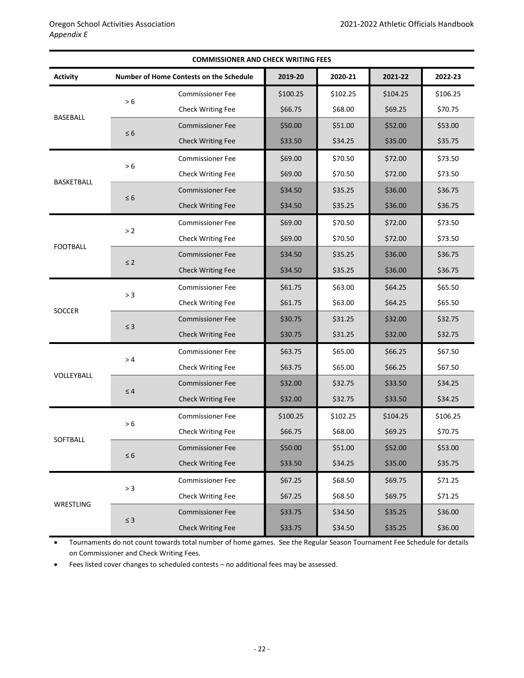| <b>COMMISSIONER AND CHECK WRITING FEES</b> |          |                                         |          |          |          |          |
|--------------------------------------------|----------|-----------------------------------------|----------|----------|----------|----------|
| <b>Activity</b>                            |          | Number of Home Contests on the Schedule | 2019-20  | 2020-21  | 2021-22  | 2022-23  |
| <b>BASEBALL</b>                            | $>6$     | <b>Commissioner Fee</b>                 | \$100.25 | \$102.25 | \$104.25 | \$106.25 |
|                                            |          | Check Writing Fee                       | \$66.75  | \$68.00  | \$69.25  | \$70.75  |
|                                            |          | <b>Commissioner Fee</b>                 | \$50.00  | \$51.00  | \$52.00  | \$53.00  |
|                                            | $\leq 6$ | <b>Check Writing Fee</b>                | \$33.50  | \$34.25  | \$35.00  | \$35.75  |
|                                            |          | <b>Commissioner Fee</b>                 | \$69.00  | \$70.50  | \$72.00  | \$73.50  |
|                                            | $>6$     | Check Writing Fee                       | \$69.00  | \$70.50  | \$72.00  | \$73.50  |
| <b>BASKETBALL</b>                          |          | <b>Commissioner Fee</b>                 | \$34.50  | \$35.25  | \$36.00  | \$36.75  |
|                                            | $\leq 6$ | <b>Check Writing Fee</b>                | \$34.50  | \$35.25  | \$36.00  | \$36.75  |
|                                            |          | <b>Commissioner Fee</b>                 | \$69.00  | \$70.50  | \$72.00  | \$73.50  |
|                                            | > 2      | Check Writing Fee                       | \$69.00  | \$70.50  | \$72.00  | \$73.50  |
| <b>FOOTBALL</b>                            | $\leq$ 2 | <b>Commissioner Fee</b>                 | \$34.50  | \$35.25  | \$36.00  | \$36.75  |
|                                            |          | <b>Check Writing Fee</b>                | \$34.50  | \$35.25  | \$36.00  | \$36.75  |
|                                            |          | <b>Commissioner Fee</b>                 | \$61.75  | \$63.00  | \$64.25  | \$65.50  |
|                                            | > 3      | <b>Check Writing Fee</b>                | \$61.75  | \$63.00  | \$64.25  | \$65.50  |
| <b>SOCCER</b>                              |          | <b>Commissioner Fee</b>                 | \$30.75  | \$31.25  | \$32.00  | \$32.75  |
|                                            | $\leq 3$ | <b>Check Writing Fee</b>                | \$30.75  | \$31.25  | \$32.00  | \$32.75  |
|                                            |          | <b>Commissioner Fee</b>                 | \$63.75  | \$65.00  | \$66.25  | \$67.50  |
| VOLLEYBALL                                 | >4       | Check Writing Fee                       | \$63.75  | \$65.00  | \$66.25  | \$67.50  |
|                                            | $\leq 4$ | <b>Commissioner Fee</b>                 | \$32.00  | \$32.75  | \$33.50  | \$34.25  |
|                                            |          | <b>Check Writing Fee</b>                | \$32.00  | \$32.75  | \$33.50  | \$34.25  |
| SOFTBALL                                   | > 6      | <b>Commissioner Fee</b>                 | \$100.25 | \$102.25 | \$104.25 | \$106.25 |
|                                            |          | <b>Check Writing Fee</b>                | \$66.75  | \$68.00  | \$69.25  | \$70.75  |
|                                            |          | <b>Commissioner Fee</b>                 | \$50.00  | \$51.00  | \$52.00  | \$53.00  |
|                                            | $\leq 6$ | <b>Check Writing Fee</b>                | \$33.50  | \$34.25  | \$35.00  | \$35.75  |
|                                            |          | <b>Commissioner Fee</b>                 | \$67.25  | \$68.50  | \$69.75  | \$71.25  |
|                                            | $> 3$    | Check Writing Fee                       | \$67.25  | \$68.50  | \$69.75  | \$71.25  |
| WRESTLING                                  | $\leq 3$ | <b>Commissioner Fee</b>                 | \$33.75  | \$34.50  | \$35.25  | \$36.00  |
|                                            |          | <b>Check Writing Fee</b>                | \$33.75  | \$34.50  | \$35.25  | \$36.00  |

• Tournaments do not count towards total number of home games. See the Regular Season Tournament Fee Schedule for details on Commissioner and Check Writing Fees.

• Fees listed cover changes to scheduled contests – no additional fees may be assessed.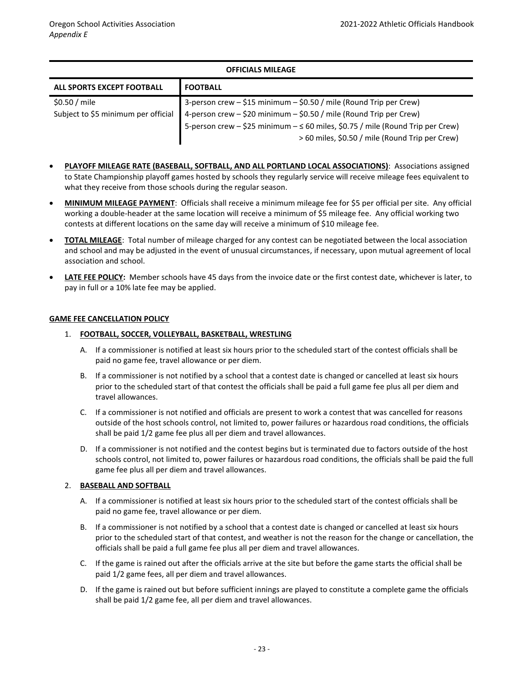### **OFFICIALS MILEAGE**

| ALL SPORTS EXCEPT FOOTBALL          | <b>I FOOTBALL</b>                                                                    |
|-------------------------------------|--------------------------------------------------------------------------------------|
| $$0.50 /$ mile                      | 3-person crew - \$15 minimum - \$0.50 / mile (Round Trip per Crew)                   |
| Subject to \$5 minimum per official | 4-person crew $-$ \$20 minimum $-$ \$0.50 / mile (Round Trip per Crew)               |
|                                     | 5-person crew $-$ \$25 minimum $ \leq$ 60 miles, \$0.75 / mile (Round Trip per Crew) |
|                                     | > 60 miles, \$0.50 / mile (Round Trip per Crew)                                      |

- **PLAYOFF MILEAGE RATE (BASEBALL, SOFTBALL, AND ALL PORTLAND LOCAL ASSOCIATIONS)**: Associations assigned to State Championship playoff games hosted by schools they regularly service will receive mileage fees equivalent to what they receive from those schools during the regular season.
- **MINIMUM MILEAGE PAYMENT**: Officials shall receive a minimum mileage fee for \$5 per official per site. Any official working a double-header at the same location will receive a minimum of \$5 mileage fee. Any official working two contests at different locations on the same day will receive a minimum of \$10 mileage fee.
- **TOTAL MILEAGE**: Total number of mileage charged for any contest can be negotiated between the local association and school and may be adjusted in the event of unusual circumstances, if necessary, upon mutual agreement of local association and school.
- **LATE FEE POLICY:** Member schools have 45 days from the invoice date or the first contest date, whichever is later, to pay in full or a 10% late fee may be applied.

### **GAME FEE CANCELLATION POLICY**

### 1. **FOOTBALL, SOCCER, VOLLEYBALL, BASKETBALL, WRESTLING**

- A. If a commissioner is notified at least six hours prior to the scheduled start of the contest officials shall be paid no game fee, travel allowance or per diem.
- B. If a commissioner is not notified by a school that a contest date is changed or cancelled at least six hours prior to the scheduled start of that contest the officials shall be paid a full game fee plus all per diem and travel allowances.
- C. If a commissioner is not notified and officials are present to work a contest that was cancelled for reasons outside of the host schools control, not limited to, power failures or hazardous road conditions, the officials shall be paid 1/2 game fee plus all per diem and travel allowances.
- D. If a commissioner is not notified and the contest begins but is terminated due to factors outside of the host schools control, not limited to, power failures or hazardous road conditions, the officials shall be paid the full game fee plus all per diem and travel allowances.

### 2. **BASEBALL AND SOFTBALL**

- A. If a commissioner is notified at least six hours prior to the scheduled start of the contest officials shall be paid no game fee, travel allowance or per diem.
- B. If a commissioner is not notified by a school that a contest date is changed or cancelled at least six hours prior to the scheduled start of that contest, and weather is not the reason for the change or cancellation, the officials shall be paid a full game fee plus all per diem and travel allowances.
- C. If the game is rained out after the officials arrive at the site but before the game starts the official shall be paid 1/2 game fees, all per diem and travel allowances.
- D. If the game is rained out but before sufficient innings are played to constitute a complete game the officials shall be paid 1/2 game fee, all per diem and travel allowances.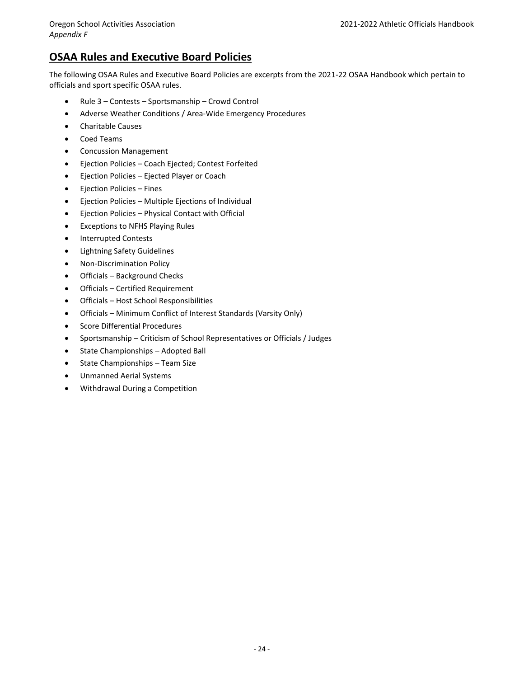### **OSAA Rules and Executive Board Policies**

The following OSAA Rules and Executive Board Policies are excerpts from the 2021-22 OSAA Handbook which pertain to officials and sport specific OSAA rules.

- Rule 3 Contests Sportsmanship Crowd Control
- Adverse Weather Conditions / Area‐Wide Emergency Procedures
- Charitable Causes
- Coed Teams
- Concussion Management
- Ejection Policies Coach Ejected; Contest Forfeited
- Ejection Policies Ejected Player or Coach
- Ejection Policies Fines
- Ejection Policies Multiple Ejections of Individual
- Ejection Policies Physical Contact with Official
- Exceptions to NFHS Playing Rules
- Interrupted Contests
- Lightning Safety Guidelines
- Non-Discrimination Policy
- Officials Background Checks
- Officials Certified Requirement
- Officials Host School Responsibilities
- Officials Minimum Conflict of Interest Standards (Varsity Only)
- Score Differential Procedures
- Sportsmanship Criticism of School Representatives or Officials / Judges
- State Championships Adopted Ball
- State Championships Team Size
- Unmanned Aerial Systems
- Withdrawal During a Competition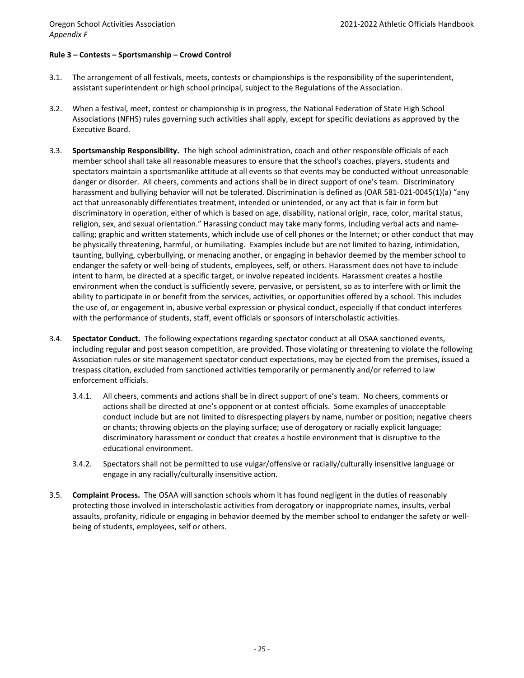### **Rule 3 – Contests – Sportsmanship – Crowd Control**

- 3.1. The arrangement of all festivals, meets, contests or championships is the responsibility of the superintendent, assistant superintendent or high school principal, subject to the Regulations of the Association.
- 3.2. When a festival, meet, contest or championship is in progress, the National Federation of State High School Associations (NFHS) rules governing such activities shall apply, except for specific deviations as approved by the Executive Board.
- 3.3. **Sportsmanship Responsibility.** The high school administration, coach and other responsible officials of each member school shall take all reasonable measures to ensure that the school's coaches, players, students and spectators maintain a sportsmanlike attitude at all events so that events may be conducted without unreasonable danger or disorder. All cheers, comments and actions shall be in direct support of one's team. Discriminatory harassment and bullying behavior will not be tolerated. Discrimination is defined as (OAR 581‐021‐0045(1)(a) "any act that unreasonably differentiates treatment, intended or unintended, or any act that is fair in form but discriminatory in operation, either of which is based on age, disability, national origin, race, color, marital status, religion, sex, and sexual orientation." Harassing conduct may take many forms, including verbal acts and name‐ calling; graphic and written statements, which include use of cell phones or the Internet; or other conduct that may be physically threatening, harmful, or humiliating. Examples include but are not limited to hazing, intimidation, taunting, bullying, cyberbullying, or menacing another, or engaging in behavior deemed by the member school to endanger the safety or well‐being of students, employees, self, or others. Harassment does not have to include intent to harm, be directed at a specific target, or involve repeated incidents. Harassment creates a hostile environment when the conduct is sufficiently severe, pervasive, or persistent, so as to interfere with or limit the ability to participate in or benefit from the services, activities, or opportunities offered by a school. This includes the use of, or engagement in, abusive verbal expression or physical conduct, especially if that conduct interferes with the performance of students, staff, event officials or sponsors of interscholastic activities.
- 3.4. **Spectator Conduct.** The following expectations regarding spectator conduct at all OSAA sanctioned events, including regular and post season competition, are provided. Those violating or threatening to violate the following Association rules or site management spectator conduct expectations, may be ejected from the premises, issued a trespass citation, excluded from sanctioned activities temporarily or permanently and/or referred to law enforcement officials.
	- 3.4.1. All cheers, comments and actions shall be in direct support of one's team. No cheers, comments or actions shall be directed at one's opponent or at contest officials. Some examples of unacceptable conduct include but are not limited to disrespecting players by name, number or position; negative cheers or chants; throwing objects on the playing surface; use of derogatory or racially explicit language; discriminatory harassment or conduct that creates a hostile environment that is disruptive to the educational environment.
	- 3.4.2. Spectators shall not be permitted to use vulgar/offensive or racially/culturally insensitive language or engage in any racially/culturally insensitive action.
- 3.5. **Complaint Process.** The OSAA will sanction schools whom it has found negligent in the duties of reasonably protecting those involved in interscholastic activities from derogatory or inappropriate names, insults, verbal assaults, profanity, ridicule or engaging in behavior deemed by the member school to endanger the safety or well‐ being of students, employees, self or others.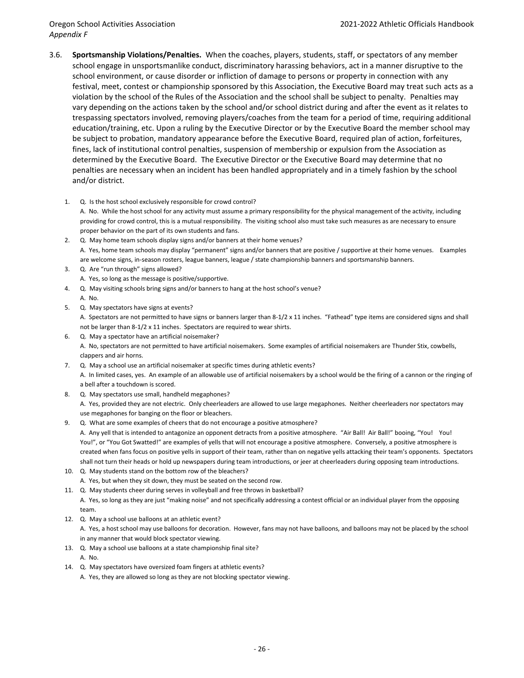### *Appendix F*

- 3.6. **Sportsmanship Violations/Penalties.** When the coaches, players, students, staff, or spectators of any member school engage in unsportsmanlike conduct, discriminatory harassing behaviors, act in a manner disruptive to the school environment, or cause disorder or infliction of damage to persons or property in connection with any festival, meet, contest or championship sponsored by this Association, the Executive Board may treat such acts as a violation by the school of the Rules of the Association and the school shall be subject to penalty. Penalties may vary depending on the actions taken by the school and/or school district during and after the event as it relates to trespassing spectators involved, removing players/coaches from the team for a period of time, requiring additional education/training, etc. Upon a ruling by the Executive Director or by the Executive Board the member school may be subject to probation, mandatory appearance before the Executive Board, required plan of action, forfeitures, fines, lack of institutional control penalties, suspension of membership or expulsion from the Association as determined by the Executive Board. The Executive Director or the Executive Board may determine that no penalties are necessary when an incident has been handled appropriately and in a timely fashion by the school and/or district.
	- 1. Q. Is the host school exclusively responsible for crowd control? A. No. While the host school for any activity must assume a primary responsibility for the physical management of the activity, including providing for crowd control, this is a mutual responsibility. The visiting school also must take such measures as are necessary to ensure proper behavior on the part of its own students and fans.
	- 2. Q. May home team schools display signs and/or banners at their home venues? A. Yes, home team schools may display "permanent" signs and/or banners that are positive / supportive at their home venues. Examples are welcome signs, in-season rosters, league banners, league / state championship banners and sportsmanship banners.
	- 3. Q. Are "run through" signs allowed?
	- A. Yes, so long as the message is positive/supportive.
	- 4. Q. May visiting schools bring signs and/or banners to hang at the host school's venue? A. No.
	- 5. Q. May spectators have signs at events? A. Spectators are not permitted to have signs or banners larger than 8‐1/2 x 11 inches. "Fathead" type items are considered signs and shall not be larger than 8‐1/2 x 11 inches. Spectators are required to wear shirts.
	- 6. Q. May a spectator have an artificial noisemaker? A. No, spectators are not permitted to have artificial noisemakers. Some examples of artificial noisemakers are Thunder Stix, cowbells, clappers and air horns.
	- 7. Q. May a school use an artificial noisemaker at specific times during athletic events? A. In limited cases, yes. An example of an allowable use of artificial noisemakers by a school would be the firing of a cannon or the ringing of a bell after a touchdown is scored.
	- 8. Q. May spectators use small, handheld megaphones? A. Yes, provided they are not electric. Only cheerleaders are allowed to use large megaphones. Neither cheerleaders nor spectators may use megaphones for banging on the floor or bleachers.
	- 9. Q. What are some examples of cheers that do not encourage a positive atmosphere? A. Any yell that is intended to antagonize an opponent detracts from a positive atmosphere. "Air Ball! Air Ball!" booing, "You! You! You!", or "You Got Swatted!" are examples of yells that will not encourage a positive atmosphere. Conversely, a positive atmosphere is created when fans focus on positive yells in support of their team, rather than on negative yells attacking their team's opponents. Spectators shall not turn their heads or hold up newspapers during team introductions, or jeer at cheerleaders during opposing team introductions.
	- 10. Q. May students stand on the bottom row of the bleachers? A. Yes, but when they sit down, they must be seated on the second row.
	- 11. Q. May students cheer during serves in volleyball and free throws in basketball?
	- A. Yes, so long as they are just "making noise" and not specifically addressing a contest official or an individual player from the opposing team.
	- 12. Q. May a school use balloons at an athletic event? A. Yes, a host school may use balloons for decoration. However, fans may not have balloons, and balloons may not be placed by the school in any manner that would block spectator viewing.
	- 13. Q. May a school use balloons at a state championship final site? A. No.
	- 14. Q. May spectators have oversized foam fingers at athletic events?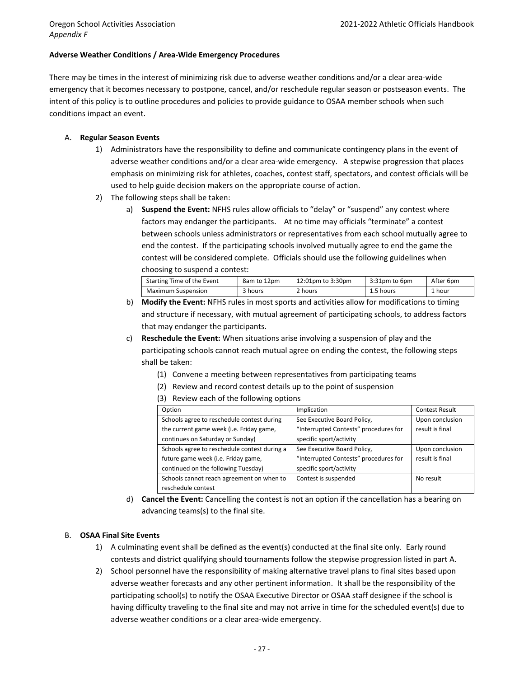### **Adverse Weather Conditions / Area‐Wide Emergency Procedures**

There may be times in the interest of minimizing risk due to adverse weather conditions and/or a clear area‐wide emergency that it becomes necessary to postpone, cancel, and/or reschedule regular season or postseason events. The intent of this policy is to outline procedures and policies to provide guidance to OSAA member schools when such conditions impact an event.

### A. **Regular Season Events**

- 1) Administrators have the responsibility to define and communicate contingency plans in the event of adverse weather conditions and/or a clear area-wide emergency. A stepwise progression that places emphasis on minimizing risk for athletes, coaches, contest staff, spectators, and contest officials will be used to help guide decision makers on the appropriate course of action.
- 2) The following steps shall be taken:
	- a) **Suspend the Event:** NFHS rules allow officials to "delay" or "suspend" any contest where factors may endanger the participants. At no time may officials "terminate" a contest between schools unless administrators or representatives from each school mutually agree to end the contest. If the participating schools involved mutually agree to end the game the contest will be considered complete. Officials should use the following guidelines when choosing to suspend a contest:

| Starting Time of the Event | 8am to 12pm | 12:01pm to 3:30pm | 3:31pm to 6pm | After 6pm |
|----------------------------|-------------|-------------------|---------------|-----------|
| Maximum Suspension         | 3 hours     | 2 hours           | 1.5 hours     | 1 hour    |

- b) **Modify the Event:** NFHS rules in most sports and activities allow for modifications to timing and structure if necessary, with mutual agreement of participating schools, to address factors that may endanger the participants.
- c) **Reschedule the Event:** When situations arise involving a suspension of play and the participating schools cannot reach mutual agree on ending the contest, the following steps shall be taken:
	- (1) Convene a meeting between representatives from participating teams
	- (2) Review and record contest details up to the point of suspension
	- (3) Review each of the following options

| Option                                       | Implication                           | <b>Contest Result</b> |
|----------------------------------------------|---------------------------------------|-----------------------|
| Schools agree to reschedule contest during   | See Executive Board Policy,           | Upon conclusion       |
| the current game week (i.e. Friday game,     | "Interrupted Contests" procedures for | result is final       |
| continues on Saturday or Sunday)             | specific sport/activity               |                       |
| Schools agree to reschedule contest during a | See Executive Board Policy,           | Upon conclusion       |
| future game week (i.e. Friday game,          | "Interrupted Contests" procedures for | result is final       |
| continued on the following Tuesday)          | specific sport/activity               |                       |
| Schools cannot reach agreement on when to    | Contest is suspended                  | No result             |
| reschedule contest                           |                                       |                       |

d) **Cancel the Event:** Cancelling the contest is not an option if the cancellation has a bearing on advancing teams(s) to the final site.

### B. **OSAA Final Site Events**

- 1) A culminating event shall be defined as the event(s) conducted at the final site only. Early round contests and district qualifying should tournaments follow the stepwise progression listed in part A.
- 2) School personnel have the responsibility of making alternative travel plans to final sites based upon adverse weather forecasts and any other pertinent information. It shall be the responsibility of the participating school(s) to notify the OSAA Executive Director or OSAA staff designee if the school is having difficulty traveling to the final site and may not arrive in time for the scheduled event(s) due to adverse weather conditions or a clear area‐wide emergency.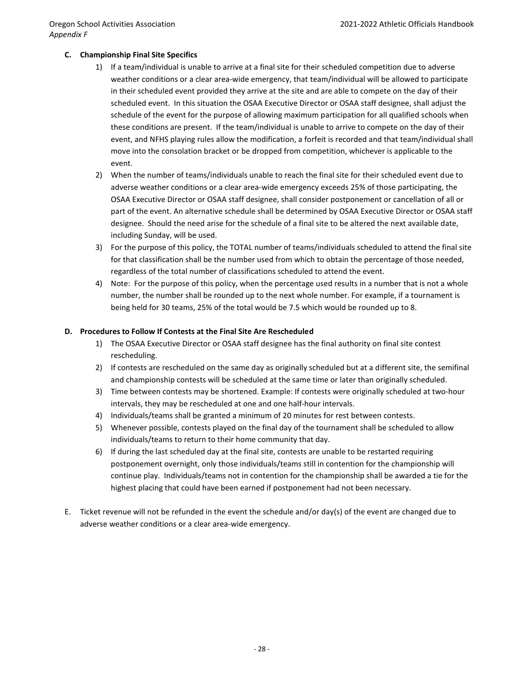### **C. Championship Final Site Specifics**

- 1) If a team/individual is unable to arrive at a final site for their scheduled competition due to adverse weather conditions or a clear area‐wide emergency, that team/individual will be allowed to participate in their scheduled event provided they arrive at the site and are able to compete on the day of their scheduled event. In this situation the OSAA Executive Director or OSAA staff designee, shall adjust the schedule of the event for the purpose of allowing maximum participation for all qualified schools when these conditions are present. If the team/individual is unable to arrive to compete on the day of their event, and NFHS playing rules allow the modification, a forfeit is recorded and that team/individual shall move into the consolation bracket or be dropped from competition, whichever is applicable to the event.
- 2) When the number of teams/individuals unable to reach the final site for their scheduled event due to adverse weather conditions or a clear area‐wide emergency exceeds 25% of those participating, the OSAA Executive Director or OSAA staff designee, shall consider postponement or cancellation of all or part of the event. An alternative schedule shall be determined by OSAA Executive Director or OSAA staff designee. Should the need arise for the schedule of a final site to be altered the next available date, including Sunday, will be used.
- 3) For the purpose of this policy, the TOTAL number of teams/individuals scheduled to attend the final site for that classification shall be the number used from which to obtain the percentage of those needed, regardless of the total number of classifications scheduled to attend the event.
- 4) Note: For the purpose of this policy, when the percentage used results in a number that is not a whole number, the number shall be rounded up to the next whole number. For example, if a tournament is being held for 30 teams, 25% of the total would be 7.5 which would be rounded up to 8.

### **D. Procedures to Follow If Contests at the Final Site Are Rescheduled**

- 1) The OSAA Executive Director or OSAA staff designee has the final authority on final site contest rescheduling.
- 2) If contests are rescheduled on the same day as originally scheduled but at a different site, the semifinal and championship contests will be scheduled at the same time or later than originally scheduled.
- 3) Time between contests may be shortened. Example: If contests were originally scheduled at two-hour intervals, they may be rescheduled at one and one half‐hour intervals.
- 4) Individuals/teams shall be granted a minimum of 20 minutes for rest between contests.
- 5) Whenever possible, contests played on the final day of the tournament shall be scheduled to allow individuals/teams to return to their home community that day.
- 6) If during the last scheduled day at the final site, contests are unable to be restarted requiring postponement overnight, only those individuals/teams still in contention for the championship will continue play. Individuals/teams not in contention for the championship shall be awarded a tie for the highest placing that could have been earned if postponement had not been necessary.
- E. Ticket revenue will not be refunded in the event the schedule and/or day(s) of the event are changed due to adverse weather conditions or a clear area‐wide emergency.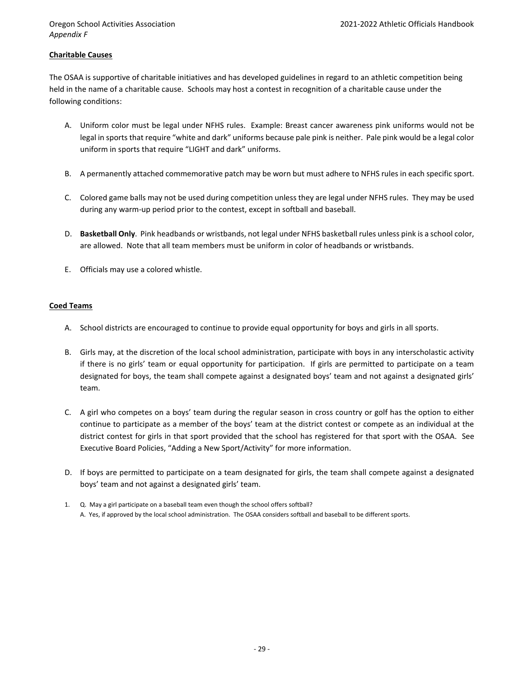### **Charitable Causes**

The OSAA is supportive of charitable initiatives and has developed guidelines in regard to an athletic competition being held in the name of a charitable cause. Schools may host a contest in recognition of a charitable cause under the following conditions:

- A. Uniform color must be legal under NFHS rules. Example: Breast cancer awareness pink uniforms would not be legal in sports that require "white and dark" uniforms because pale pink is neither. Pale pink would be a legal color uniform in sports that require "LIGHT and dark" uniforms.
- B. A permanently attached commemorative patch may be worn but must adhere to NFHS rules in each specific sport.
- C. Colored game balls may not be used during competition unless they are legal under NFHS rules. They may be used during any warm-up period prior to the contest, except in softball and baseball.
- D. **Basketball Only**. Pink headbands or wristbands, not legal under NFHS basketball rules unless pink is a school color, are allowed. Note that all team members must be uniform in color of headbands or wristbands.
- E. Officials may use a colored whistle.

### **Coed Teams**

- A. School districts are encouraged to continue to provide equal opportunity for boys and girls in all sports.
- B. Girls may, at the discretion of the local school administration, participate with boys in any interscholastic activity if there is no girls' team or equal opportunity for participation. If girls are permitted to participate on a team designated for boys, the team shall compete against a designated boys' team and not against a designated girls' team.
- C. A girl who competes on a boys' team during the regular season in cross country or golf has the option to either continue to participate as a member of the boys' team at the district contest or compete as an individual at the district contest for girls in that sport provided that the school has registered for that sport with the OSAA. See Executive Board Policies, "Adding a New Sport/Activity" for more information.
- D. If boys are permitted to participate on a team designated for girls, the team shall compete against a designated boys' team and not against a designated girls' team.
- 1. Q. May a girl participate on a baseball team even though the school offers softball? A. Yes, if approved by the local school administration. The OSAA considers softball and baseball to be different sports.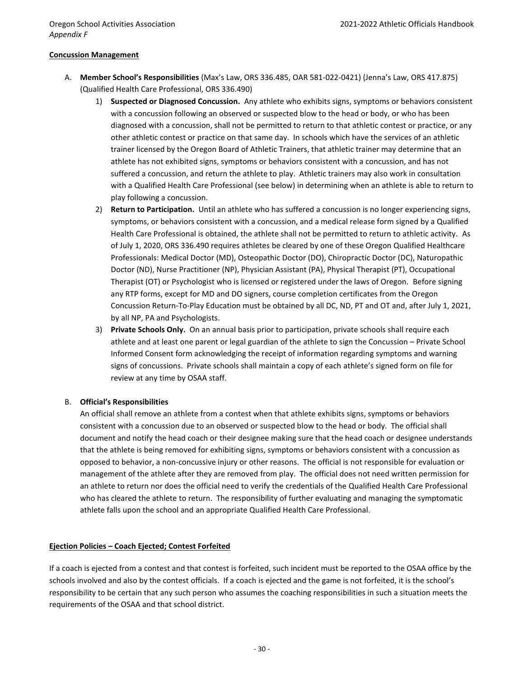### **Concussion Management**

- A. **Member School's Responsibilities** (Max's Law, ORS 336.485, OAR 581-022-0421) (Jenna's Law, ORS 417.875) (Qualified Health Care Professional, ORS 336.490)
	- 1) **Suspected or Diagnosed Concussion.** Any athlete who exhibits signs, symptoms or behaviors consistent with a concussion following an observed or suspected blow to the head or body, or who has been diagnosed with a concussion, shall not be permitted to return to that athletic contest or practice, or any other athletic contest or practice on that same day. In schools which have the services of an athletic trainer licensed by the Oregon Board of Athletic Trainers, that athletic trainer may determine that an athlete has not exhibited signs, symptoms or behaviors consistent with a concussion, and has not suffered a concussion, and return the athlete to play. Athletic trainers may also work in consultation with a Qualified Health Care Professional (see below) in determining when an athlete is able to return to play following a concussion.
	- 2) **Return to Participation.** Until an athlete who has suffered a concussion is no longer experiencing signs, symptoms, or behaviors consistent with a concussion, and a medical release form signed by a Qualified Health Care Professional is obtained, the athlete shall not be permitted to return to athletic activity. As of July 1, 2020, ORS 336.490 requires athletes be cleared by one of these Oregon Qualified Healthcare Professionals: Medical Doctor (MD), Osteopathic Doctor (DO), Chiropractic Doctor (DC), Naturopathic Doctor (ND), Nurse Practitioner (NP), Physician Assistant (PA), Physical Therapist (PT), Occupational Therapist (OT) or Psychologist who is licensed or registered under the laws of Oregon. Before signing any RTP forms, except for MD and DO signers, course completion certificates from the Oregon Concussion Return‐To‐Play Education must be obtained by all DC, ND, PT and OT and, after July 1, 2021, by all NP, PA and Psychologists.
	- 3) **Private Schools Only.** On an annual basis prior to participation, private schools shall require each athlete and at least one parent or legal guardian of the athlete to sign the Concussion – Private School Informed Consent form acknowledging the receipt of information regarding symptoms and warning signs of concussions. Private schools shall maintain a copy of each athlete's signed form on file for review at any time by OSAA staff.

### B. **Official's Responsibilities**

An official shall remove an athlete from a contest when that athlete exhibits signs, symptoms or behaviors consistent with a concussion due to an observed or suspected blow to the head or body. The official shall document and notify the head coach or their designee making sure that the head coach or designee understands that the athlete is being removed for exhibiting signs, symptoms or behaviors consistent with a concussion as opposed to behavior, a non-concussive injury or other reasons. The official is not responsible for evaluation or management of the athlete after they are removed from play. The official does not need written permission for an athlete to return nor does the official need to verify the credentials of the Qualified Health Care Professional who has cleared the athlete to return. The responsibility of further evaluating and managing the symptomatic athlete falls upon the school and an appropriate Qualified Health Care Professional.

### **Ejection Policies – Coach Ejected; Contest Forfeited**

If a coach is ejected from a contest and that contest is forfeited, such incident must be reported to the OSAA office by the schools involved and also by the contest officials. If a coach is ejected and the game is not forfeited, it is the school's responsibility to be certain that any such person who assumes the coaching responsibilities in such a situation meets the requirements of the OSAA and that school district.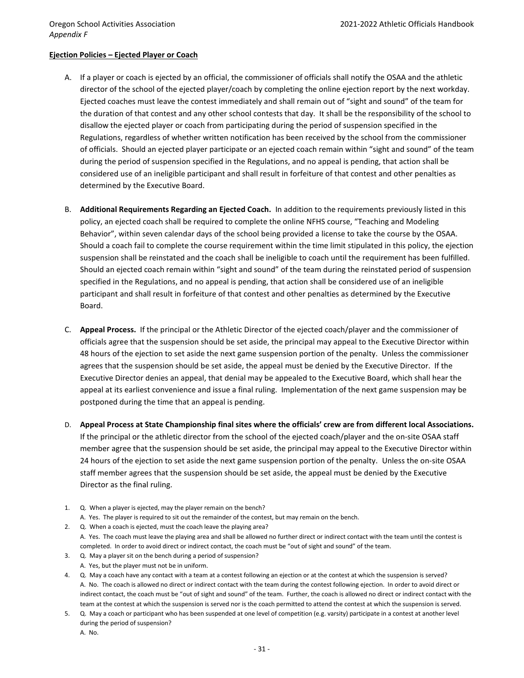### **Ejection Policies – Ejected Player or Coach**

- A. If a player or coach is ejected by an official, the commissioner of officials shall notify the OSAA and the athletic director of the school of the ejected player/coach by completing the online ejection report by the next workday. Ejected coaches must leave the contest immediately and shall remain out of "sight and sound" of the team for the duration of that contest and any other school contests that day. It shall be the responsibility of the school to disallow the ejected player or coach from participating during the period of suspension specified in the Regulations, regardless of whether written notification has been received by the school from the commissioner of officials. Should an ejected player participate or an ejected coach remain within "sight and sound" of the team during the period of suspension specified in the Regulations, and no appeal is pending, that action shall be considered use of an ineligible participant and shall result in forfeiture of that contest and other penalties as determined by the Executive Board.
- B. **Additional Requirements Regarding an Ejected Coach.** In addition to the requirements previously listed in this policy, an ejected coach shall be required to complete the online NFHS course, "Teaching and Modeling Behavior", within seven calendar days of the school being provided a license to take the course by the OSAA. Should a coach fail to complete the course requirement within the time limit stipulated in this policy, the ejection suspension shall be reinstated and the coach shall be ineligible to coach until the requirement has been fulfilled. Should an ejected coach remain within "sight and sound" of the team during the reinstated period of suspension specified in the Regulations, and no appeal is pending, that action shall be considered use of an ineligible participant and shall result in forfeiture of that contest and other penalties as determined by the Executive Board.
- C. **Appeal Process.** If the principal or the Athletic Director of the ejected coach/player and the commissioner of officials agree that the suspension should be set aside, the principal may appeal to the Executive Director within 48 hours of the ejection to set aside the next game suspension portion of the penalty. Unless the commissioner agrees that the suspension should be set aside, the appeal must be denied by the Executive Director. If the Executive Director denies an appeal, that denial may be appealed to the Executive Board, which shall hear the appeal at its earliest convenience and issue a final ruling. Implementation of the next game suspension may be postponed during the time that an appeal is pending.
- D. **Appeal Process at State Championship final sites where the officials' crew are from different local Associations.** If the principal or the athletic director from the school of the ejected coach/player and the on‐site OSAA staff member agree that the suspension should be set aside, the principal may appeal to the Executive Director within 24 hours of the ejection to set aside the next game suspension portion of the penalty. Unless the on‐site OSAA staff member agrees that the suspension should be set aside, the appeal must be denied by the Executive Director as the final ruling.
- 1. Q. When a player is ejected, may the player remain on the bench?
	- A. Yes. The player is required to sit out the remainder of the contest, but may remain on the bench.
- 2. Q. When a coach is ejected, must the coach leave the playing area? A. Yes. The coach must leave the playing area and shall be allowed no further direct or indirect contact with the team until the contest is completed. In order to avoid direct or indirect contact, the coach must be "out of sight and sound" of the team.
- 3. Q. May a player sit on the bench during a period of suspension? A. Yes, but the player must not be in uniform.
- 4. Q. May a coach have any contact with a team at a contest following an ejection or at the contest at which the suspension is served? A. No. The coach is allowed no direct or indirect contact with the team during the contest following ejection. In order to avoid direct or indirect contact, the coach must be "out of sight and sound" of the team. Further, the coach is allowed no direct or indirect contact with the team at the contest at which the suspension is served nor is the coach permitted to attend the contest at which the suspension is served.
- 5. Q. May a coach or participant who has been suspended at one level of competition (e.g. varsity) participate in a contest at another level during the period of suspension?
	- A. No.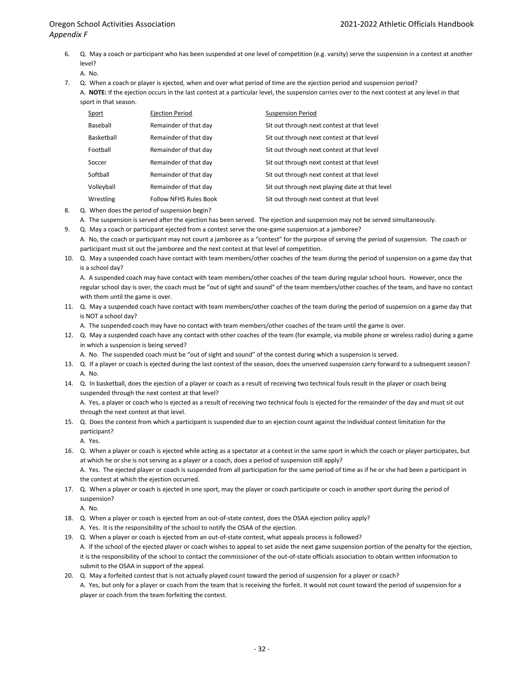6. Q. May a coach or participant who has been suspended at one level of competition (e.g. varsity) serve the suspension in a contest at another level?

A. No.

7. Q. When a coach or player is ejected, when and over what period of time are the ejection period and suspension period?

A. **NOTE:** If the ejection occurs in the last contest at a particular level, the suspension carries over to the next contest at any level in that sport in that season.

| Sport      | <b>Ejection Period</b>        | <b>Suspension Period</b>                        |
|------------|-------------------------------|-------------------------------------------------|
| Baseball   | Remainder of that day         | Sit out through next contest at that level      |
| Basketball | Remainder of that day         | Sit out through next contest at that level      |
| Foothall   | Remainder of that day         | Sit out through next contest at that level      |
| Soccer     | Remainder of that day         | Sit out through next contest at that level      |
| Softball   | Remainder of that day         | Sit out through next contest at that level      |
| Volleyball | Remainder of that day         | Sit out through next playing date at that level |
| Wrestling  | <b>Follow NFHS Rules Book</b> | Sit out through next contest at that level      |

- 8. Q. When does the period of suspension begin?
- A. The suspension is served after the ejection has been served. The ejection and suspension may not be served simultaneously.
- 9. Q. May a coach or participant ejected from a contest serve the one-game suspension at a jamboree? A. No, the coach or participant may not count a jamboree as a "contest" for the purpose of serving the period of suspension. The coach or participant must sit out the jamboree and the next contest at that level of competition.
- 10. Q. May a suspended coach have contact with team members/other coaches of the team during the period of suspension on a game day that is a school day?

A. A suspended coach may have contact with team members/other coaches of the team during regular school hours. However, once the regular school day is over, the coach must be "out of sight and sound" of the team members/other coaches of the team, and have no contact with them until the game is over.

11. Q. May a suspended coach have contact with team members/other coaches of the team during the period of suspension on a game day that is NOT a school day?

A. The suspended coach may have no contact with team members/other coaches of the team until the game is over.

- 12. Q. May a suspended coach have any contact with other coaches of the team (for example, via mobile phone or wireless radio) during a game in which a suspension is being served?
	- A. No. The suspended coach must be "out of sight and sound" of the contest during which a suspension is served.
- 13. Q. If a player or coach is ejected during the last contest of the season, does the unserved suspension carry forward to a subsequent season? A. No.
- 14. Q. In basketball, does the ejection of a player or coach as a result of receiving two technical fouls result in the player or coach being suspended through the next contest at that level?

A. Yes, a player or coach who is ejected as a result of receiving two technical fouls is ejected for the remainder of the day and must sit out through the next contest at that level.

15. Q. Does the contest from which a participant is suspended due to an ejection count against the individual contest limitation for the participant?

A. Yes.

16. Q. When a player or coach is ejected while acting as a spectator at a contest in the same sport in which the coach or player participates, but at which he or she is not serving as a player or a coach, does a period of suspension still apply?

A. Yes. The ejected player or coach is suspended from all participation for the same period of time as if he or she had been a participant in the contest at which the ejection occurred.

17. Q. When a player or coach is ejected in one sport, may the player or coach participate or coach in another sport during the period of suspension?

A. No.

- 18. Q. When a player or coach is ejected from an out-of-state contest, does the OSAA ejection policy apply?
	- A. Yes. It is the responsibility of the school to notify the OSAA of the ejection.
- 19. Q. When a player or coach is ejected from an out-of-state contest, what appeals process is followed? A. If the school of the ejected player or coach wishes to appeal to set aside the next game suspension portion of the penalty for the ejection, it is the responsibility of the school to contact the commissioner of the out-of-state officials association to obtain written information to submit to the OSAA in support of the appeal.
- 20. Q. May a forfeited contest that is not actually played count toward the period of suspension for a player or coach? A. Yes, but only for a player or coach from the team that is receiving the forfeit. It would not count toward the period of suspension for a player or coach from the team forfeiting the contest.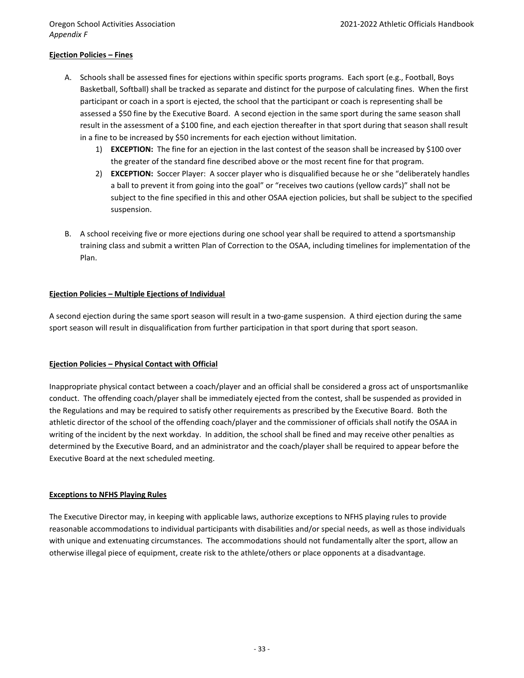*Appendix F*

### **Ejection Policies – Fines**

- A. Schools shall be assessed fines for ejections within specific sports programs. Each sport (e.g., Football, Boys Basketball, Softball) shall be tracked as separate and distinct for the purpose of calculating fines. When the first participant or coach in a sport is ejected, the school that the participant or coach is representing shall be assessed a \$50 fine by the Executive Board. A second ejection in the same sport during the same season shall result in the assessment of a \$100 fine, and each ejection thereafter in that sport during that season shall result in a fine to be increased by \$50 increments for each ejection without limitation.
	- 1) **EXCEPTION:** The fine for an ejection in the last contest of the season shall be increased by \$100 over the greater of the standard fine described above or the most recent fine for that program.
	- 2) **EXCEPTION:** Soccer Player: A soccer player who is disqualified because he or she "deliberately handles a ball to prevent it from going into the goal" or "receives two cautions (yellow cards)" shall not be subject to the fine specified in this and other OSAA ejection policies, but shall be subject to the specified suspension.
- B. A school receiving five or more ejections during one school year shall be required to attend a sportsmanship training class and submit a written Plan of Correction to the OSAA, including timelines for implementation of the Plan.

### **Ejection Policies – Multiple Ejections of Individual**

A second ejection during the same sport season will result in a two-game suspension. A third ejection during the same sport season will result in disqualification from further participation in that sport during that sport season.

### **Ejection Policies – Physical Contact with Official**

Inappropriate physical contact between a coach/player and an official shall be considered a gross act of unsportsmanlike conduct. The offending coach/player shall be immediately ejected from the contest, shall be suspended as provided in the Regulations and may be required to satisfy other requirements as prescribed by the Executive Board. Both the athletic director of the school of the offending coach/player and the commissioner of officials shall notify the OSAA in writing of the incident by the next workday. In addition, the school shall be fined and may receive other penalties as determined by the Executive Board, and an administrator and the coach/player shall be required to appear before the Executive Board at the next scheduled meeting.

### **Exceptions to NFHS Playing Rules**

The Executive Director may, in keeping with applicable laws, authorize exceptions to NFHS playing rules to provide reasonable accommodations to individual participants with disabilities and/or special needs, as well as those individuals with unique and extenuating circumstances. The accommodations should not fundamentally alter the sport, allow an otherwise illegal piece of equipment, create risk to the athlete/others or place opponents at a disadvantage.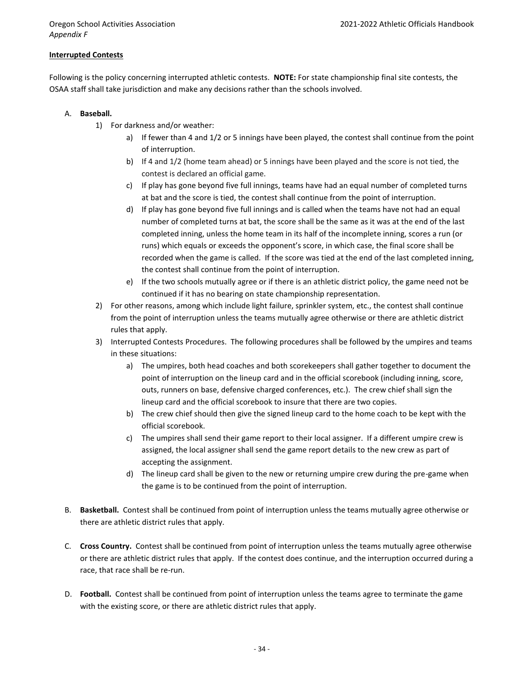*Appendix F*

### **Interrupted Contests**

Following is the policy concerning interrupted athletic contests. **NOTE:** For state championship final site contests, the OSAA staff shall take jurisdiction and make any decisions rather than the schools involved.

- A. **Baseball.**
	- 1) For darkness and/or weather:
		- a) If fewer than 4 and 1/2 or 5 innings have been played, the contest shall continue from the point of interruption.
		- b) If 4 and 1/2 (home team ahead) or 5 innings have been played and the score is not tied, the contest is declared an official game.
		- c) If play has gone beyond five full innings, teams have had an equal number of completed turns at bat and the score is tied, the contest shall continue from the point of interruption.
		- d) If play has gone beyond five full innings and is called when the teams have not had an equal number of completed turns at bat, the score shall be the same as it was at the end of the last completed inning, unless the home team in its half of the incomplete inning, scores a run (or runs) which equals or exceeds the opponent's score, in which case, the final score shall be recorded when the game is called. If the score was tied at the end of the last completed inning, the contest shall continue from the point of interruption.
		- e) If the two schools mutually agree or if there is an athletic district policy, the game need not be continued if it has no bearing on state championship representation.
	- 2) For other reasons, among which include light failure, sprinkler system, etc., the contest shall continue from the point of interruption unless the teams mutually agree otherwise or there are athletic district rules that apply.
	- 3) Interrupted Contests Procedures. The following procedures shall be followed by the umpires and teams in these situations:
		- a) The umpires, both head coaches and both scorekeepers shall gather together to document the point of interruption on the lineup card and in the official scorebook (including inning, score, outs, runners on base, defensive charged conferences, etc.). The crew chief shall sign the lineup card and the official scorebook to insure that there are two copies.
		- b) The crew chief should then give the signed lineup card to the home coach to be kept with the official scorebook.
		- c) The umpires shall send their game report to their local assigner. If a different umpire crew is assigned, the local assigner shall send the game report details to the new crew as part of accepting the assignment.
		- d) The lineup card shall be given to the new or returning umpire crew during the pre-game when the game is to be continued from the point of interruption.
- B. **Basketball.** Contest shall be continued from point of interruption unless the teams mutually agree otherwise or there are athletic district rules that apply.
- C. **Cross Country.** Contest shall be continued from point of interruption unless the teams mutually agree otherwise or there are athletic district rules that apply. If the contest does continue, and the interruption occurred during a race, that race shall be re-run.
- D. **Football.** Contest shall be continued from point of interruption unless the teams agree to terminate the game with the existing score, or there are athletic district rules that apply.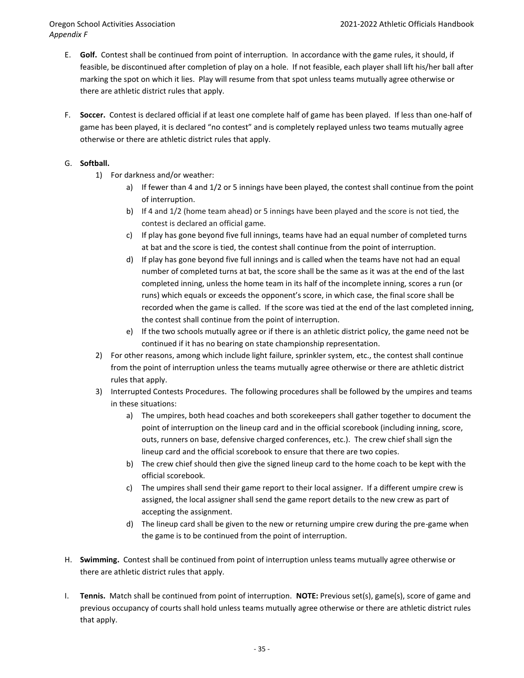- E. **Golf.** Contest shall be continued from point of interruption. In accordance with the game rules, it should, if feasible, be discontinued after completion of play on a hole. If not feasible, each player shall lift his/her ball after marking the spot on which it lies. Play will resume from that spot unless teams mutually agree otherwise or there are athletic district rules that apply.
- F. **Soccer.** Contest is declared official if at least one complete half of game has been played. If less than one-half of game has been played, it is declared "no contest" and is completely replayed unless two teams mutually agree otherwise or there are athletic district rules that apply.

### G. **Softball.**

- 1) For darkness and/or weather:
	- a) If fewer than 4 and 1/2 or 5 innings have been played, the contest shall continue from the point of interruption.
	- b) If 4 and 1/2 (home team ahead) or 5 innings have been played and the score is not tied, the contest is declared an official game.
	- c) If play has gone beyond five full innings, teams have had an equal number of completed turns at bat and the score is tied, the contest shall continue from the point of interruption.
	- d) If play has gone beyond five full innings and is called when the teams have not had an equal number of completed turns at bat, the score shall be the same as it was at the end of the last completed inning, unless the home team in its half of the incomplete inning, scores a run (or runs) which equals or exceeds the opponent's score, in which case, the final score shall be recorded when the game is called. If the score was tied at the end of the last completed inning, the contest shall continue from the point of interruption.
	- e) If the two schools mutually agree or if there is an athletic district policy, the game need not be continued if it has no bearing on state championship representation.
- 2) For other reasons, among which include light failure, sprinkler system, etc., the contest shall continue from the point of interruption unless the teams mutually agree otherwise or there are athletic district rules that apply.
- 3) Interrupted Contests Procedures. The following procedures shall be followed by the umpires and teams in these situations:
	- a) The umpires, both head coaches and both scorekeepers shall gather together to document the point of interruption on the lineup card and in the official scorebook (including inning, score, outs, runners on base, defensive charged conferences, etc.). The crew chief shall sign the lineup card and the official scorebook to ensure that there are two copies.
	- b) The crew chief should then give the signed lineup card to the home coach to be kept with the official scorebook.
	- c) The umpires shall send their game report to their local assigner. If a different umpire crew is assigned, the local assigner shall send the game report details to the new crew as part of accepting the assignment.
	- d) The lineup card shall be given to the new or returning umpire crew during the pre-game when the game is to be continued from the point of interruption.
- H. **Swimming.** Contest shall be continued from point of interruption unless teams mutually agree otherwise or there are athletic district rules that apply.
- I. **Tennis.** Match shall be continued from point of interruption. **NOTE:** Previous set(s), game(s), score of game and previous occupancy of courts shall hold unless teams mutually agree otherwise or there are athletic district rules that apply.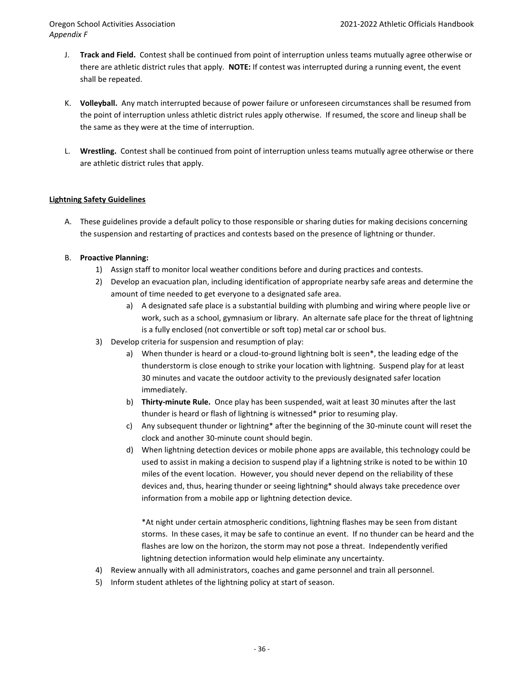- J. **Track and Field.** Contest shall be continued from point of interruption unless teams mutually agree otherwise or there are athletic district rules that apply. **NOTE:** If contest was interrupted during a running event, the event shall be repeated.
- K. **Volleyball.** Any match interrupted because of power failure or unforeseen circumstances shall be resumed from the point of interruption unless athletic district rules apply otherwise. If resumed, the score and lineup shall be the same as they were at the time of interruption.
- L. **Wrestling.** Contest shall be continued from point of interruption unless teams mutually agree otherwise or there are athletic district rules that apply.

### **Lightning Safety Guidelines**

A. These guidelines provide a default policy to those responsible or sharing duties for making decisions concerning the suspension and restarting of practices and contests based on the presence of lightning or thunder.

### B. **Proactive Planning:**

- 1) Assign staff to monitor local weather conditions before and during practices and contests.
- 2) Develop an evacuation plan, including identification of appropriate nearby safe areas and determine the amount of time needed to get everyone to a designated safe area.
	- a) A designated safe place is a substantial building with plumbing and wiring where people live or work, such as a school, gymnasium or library. An alternate safe place for the threat of lightning is a fully enclosed (not convertible or soft top) metal car or school bus.
- 3) Develop criteria for suspension and resumption of play:
	- a) When thunder is heard or a cloud-to-ground lightning bolt is seen\*, the leading edge of the thunderstorm is close enough to strike your location with lightning. Suspend play for at least 30 minutes and vacate the outdoor activity to the previously designated safer location immediately.
	- b) **Thirty-minute Rule.** Once play has been suspended, wait at least 30 minutes after the last thunder is heard or flash of lightning is witnessed\* prior to resuming play.
	- c) Any subsequent thunder or lightning\* after the beginning of the 30-minute count will reset the clock and another 30-minute count should begin.
	- d) When lightning detection devices or mobile phone apps are available, this technology could be used to assist in making a decision to suspend play if a lightning strike is noted to be within 10 miles of the event location. However, you should never depend on the reliability of these devices and, thus, hearing thunder or seeing lightning\* should always take precedence over information from a mobile app or lightning detection device.

\*At night under certain atmospheric conditions, lightning flashes may be seen from distant storms. In these cases, it may be safe to continue an event. If no thunder can be heard and the flashes are low on the horizon, the storm may not pose a threat. Independently verified lightning detection information would help eliminate any uncertainty.

- 4) Review annually with all administrators, coaches and game personnel and train all personnel.
- 5) Inform student athletes of the lightning policy at start of season.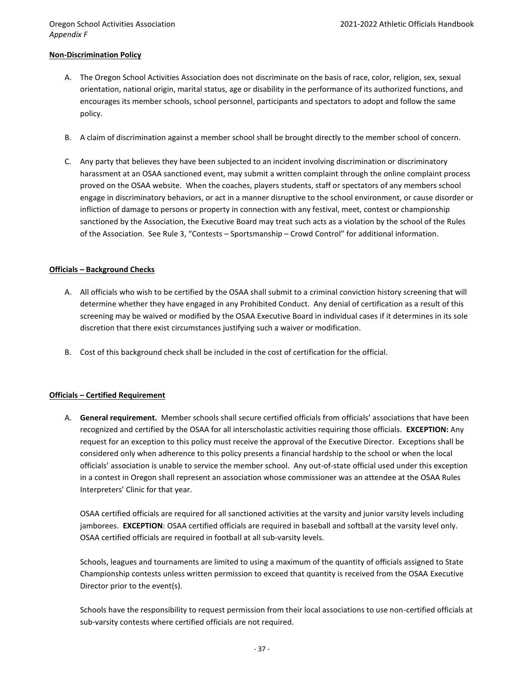*Appendix F*

### **Non-Discrimination Policy**

- A. The Oregon School Activities Association does not discriminate on the basis of race, color, religion, sex, sexual orientation, national origin, marital status, age or disability in the performance of its authorized functions, and encourages its member schools, school personnel, participants and spectators to adopt and follow the same policy.
- B. A claim of discrimination against a member school shall be brought directly to the member school of concern.
- C. Any party that believes they have been subjected to an incident involving discrimination or discriminatory harassment at an OSAA sanctioned event, may submit a written complaint through the online complaint process proved on the OSAA website. When the coaches, players students, staff or spectators of any members school engage in discriminatory behaviors, or act in a manner disruptive to the school environment, or cause disorder or infliction of damage to persons or property in connection with any festival, meet, contest or championship sanctioned by the Association, the Executive Board may treat such acts as a violation by the school of the Rules of the Association. See Rule 3, "Contests – Sportsmanship – Crowd Control" for additional information.

### **Officials – Background Checks**

- A. All officials who wish to be certified by the OSAA shall submit to a criminal conviction history screening that will determine whether they have engaged in any Prohibited Conduct. Any denial of certification as a result of this screening may be waived or modified by the OSAA Executive Board in individual cases if it determines in its sole discretion that there exist circumstances justifying such a waiver or modification.
- B. Cost of this background check shall be included in the cost of certification for the official.

### **Officials – Certified Requirement**

A. **General requirement.** Member schools shall secure certified officials from officials' associations that have been recognized and certified by the OSAA for all interscholastic activities requiring those officials. **EXCEPTION:** Any request for an exception to this policy must receive the approval of the Executive Director. Exceptions shall be considered only when adherence to this policy presents a financial hardship to the school or when the local officials' association is unable to service the member school. Any out-of-state official used under this exception in a contest in Oregon shall represent an association whose commissioner was an attendee at the OSAA Rules Interpreters' Clinic for that year.

OSAA certified officials are required for all sanctioned activities at the varsity and junior varsity levels including jamborees. **EXCEPTION**: OSAA certified officials are required in baseball and softball at the varsity level only. OSAA certified officials are required in football at all sub-varsity levels.

Schools, leagues and tournaments are limited to using a maximum of the quantity of officials assigned to State Championship contests unless written permission to exceed that quantity is received from the OSAA Executive Director prior to the event(s).

Schools have the responsibility to request permission from their local associations to use non-certified officials at sub-varsity contests where certified officials are not required.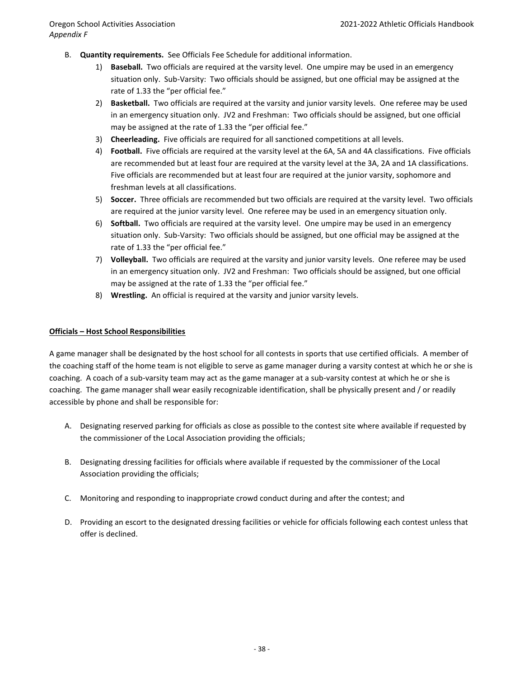- B. **Quantity requirements.** See Officials Fee Schedule for additional information.
	- 1) **Baseball.** Two officials are required at the varsity level. One umpire may be used in an emergency situation only. Sub-Varsity: Two officials should be assigned, but one official may be assigned at the rate of 1.33 the "per official fee."
	- 2) **Basketball.** Two officials are required at the varsity and junior varsity levels. One referee may be used in an emergency situation only. JV2 and Freshman: Two officials should be assigned, but one official may be assigned at the rate of 1.33 the "per official fee."
	- 3) **Cheerleading.** Five officials are required for all sanctioned competitions at all levels.
	- 4) **Football.** Five officials are required at the varsity level at the 6A, 5A and 4A classifications. Five officials are recommended but at least four are required at the varsity level at the 3A, 2A and 1A classifications. Five officials are recommended but at least four are required at the junior varsity, sophomore and freshman levels at all classifications.
	- 5) **Soccer.** Three officials are recommended but two officials are required at the varsity level. Two officials are required at the junior varsity level. One referee may be used in an emergency situation only.
	- 6) **Softball.** Two officials are required at the varsity level. One umpire may be used in an emergency situation only. Sub-Varsity: Two officials should be assigned, but one official may be assigned at the rate of 1.33 the "per official fee."
	- 7) **Volleyball.** Two officials are required at the varsity and junior varsity levels. One referee may be used in an emergency situation only. JV2 and Freshman: Two officials should be assigned, but one official may be assigned at the rate of 1.33 the "per official fee."
	- 8) **Wrestling.** An official is required at the varsity and junior varsity levels.

### **Officials – Host School Responsibilities**

A game manager shall be designated by the host school for all contests in sports that use certified officials. A member of the coaching staff of the home team is not eligible to serve as game manager during a varsity contest at which he or she is coaching. A coach of a sub-varsity team may act as the game manager at a sub-varsity contest at which he or she is coaching. The game manager shall wear easily recognizable identification, shall be physically present and / or readily accessible by phone and shall be responsible for:

- A. Designating reserved parking for officials as close as possible to the contest site where available if requested by the commissioner of the Local Association providing the officials;
- B. Designating dressing facilities for officials where available if requested by the commissioner of the Local Association providing the officials;
- C. Monitoring and responding to inappropriate crowd conduct during and after the contest; and
- D. Providing an escort to the designated dressing facilities or vehicle for officials following each contest unless that offer is declined.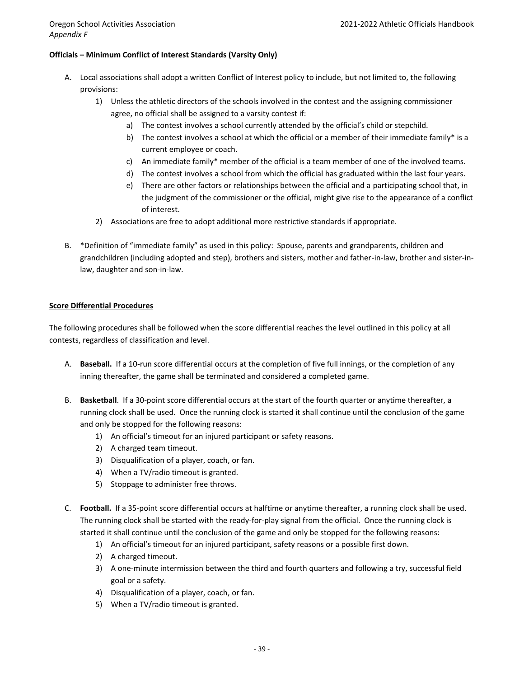### **Officials – Minimum Conflict of Interest Standards (Varsity Only)**

- A. Local associations shall adopt a written Conflict of Interest policy to include, but not limited to, the following provisions:
	- 1) Unless the athletic directors of the schools involved in the contest and the assigning commissioner agree, no official shall be assigned to a varsity contest if:
		- a) The contest involves a school currently attended by the official's child or stepchild.
		- b) The contest involves a school at which the official or a member of their immediate family\* is a current employee or coach.
		- c) An immediate family\* member of the official is a team member of one of the involved teams.
		- d) The contest involves a school from which the official has graduated within the last four years.
		- e) There are other factors or relationships between the official and a participating school that, in the judgment of the commissioner or the official, might give rise to the appearance of a conflict of interest.
	- 2) Associations are free to adopt additional more restrictive standards if appropriate.
- B. \*Definition of "immediate family" as used in this policy: Spouse, parents and grandparents, children and grandchildren (including adopted and step), brothers and sisters, mother and father-in-law, brother and sister-inlaw, daughter and son-in-law.

### **Score Differential Procedures**

The following procedures shall be followed when the score differential reaches the level outlined in this policy at all contests, regardless of classification and level.

- A. **Baseball.** If a 10-run score differential occurs at the completion of five full innings, or the completion of any inning thereafter, the game shall be terminated and considered a completed game.
- B. **Basketball**. If a 30‐point score differential occurs at the start of the fourth quarter or anytime thereafter, a running clock shall be used. Once the running clock is started it shall continue until the conclusion of the game and only be stopped for the following reasons:
	- 1) An official's timeout for an injured participant or safety reasons.
	- 2) A charged team timeout.
	- 3) Disqualification of a player, coach, or fan.
	- 4) When a TV/radio timeout is granted.
	- 5) Stoppage to administer free throws.
- C. **Football.** If a 35‐point score differential occurs at halftime or anytime thereafter, a running clock shall be used. The running clock shall be started with the ready-for-play signal from the official. Once the running clock is started it shall continue until the conclusion of the game and only be stopped for the following reasons:
	- 1) An official's timeout for an injured participant, safety reasons or a possible first down.
	- 2) A charged timeout.
	- 3) A one-minute intermission between the third and fourth quarters and following a try, successful field goal or a safety.
	- 4) Disqualification of a player, coach, or fan.
	- 5) When a TV/radio timeout is granted.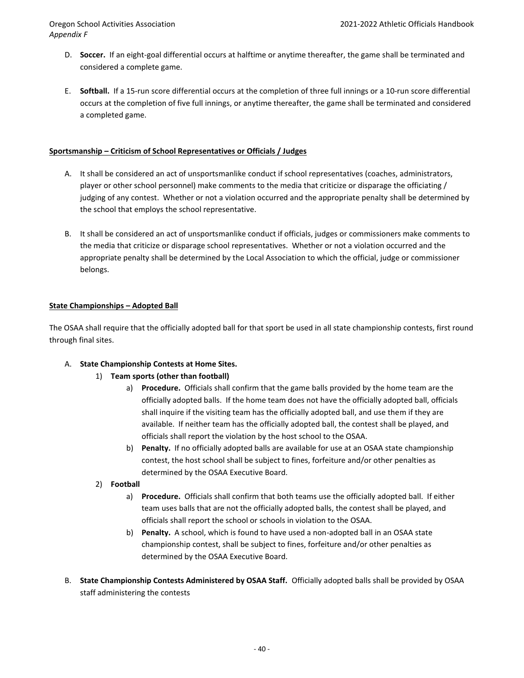- D. **Soccer.** If an eight-goal differential occurs at halftime or anytime thereafter, the game shall be terminated and considered a complete game.
- E. **Softball.** If a 15‐run score differential occurs at the completion of three full innings or a 10‐run score differential occurs at the completion of five full innings, or anytime thereafter, the game shall be terminated and considered a completed game.

### **Sportsmanship – Criticism of School Representatives or Officials / Judges**

- A. It shall be considered an act of unsportsmanlike conduct if school representatives (coaches, administrators, player or other school personnel) make comments to the media that criticize or disparage the officiating / judging of any contest. Whether or not a violation occurred and the appropriate penalty shall be determined by the school that employs the school representative.
- B. It shall be considered an act of unsportsmanlike conduct if officials, judges or commissioners make comments to the media that criticize or disparage school representatives. Whether or not a violation occurred and the appropriate penalty shall be determined by the Local Association to which the official, judge or commissioner belongs.

### **State Championships – Adopted Ball**

The OSAA shall require that the officially adopted ball for that sport be used in all state championship contests, first round through final sites.

### A. **State Championship Contests at Home Sites.**

- 1) **Team sports (other than football)**
	- a) **Procedure.** Officials shall confirm that the game balls provided by the home team are the officially adopted balls. If the home team does not have the officially adopted ball, officials shall inquire if the visiting team has the officially adopted ball, and use them if they are available. If neither team has the officially adopted ball, the contest shall be played, and officials shall report the violation by the host school to the OSAA.
	- b) **Penalty.** If no officially adopted balls are available for use at an OSAA state championship contest, the host school shall be subject to fines, forfeiture and/or other penalties as determined by the OSAA Executive Board.
- 2) **Football**
	- a) **Procedure.** Officials shall confirm that both teams use the officially adopted ball. If either team uses balls that are not the officially adopted balls, the contest shall be played, and officials shall report the school or schools in violation to the OSAA.
	- b) **Penalty.** A school, which is found to have used a non-adopted ball in an OSAA state championship contest, shall be subject to fines, forfeiture and/or other penalties as determined by the OSAA Executive Board.
- B. **State Championship Contests Administered by OSAA Staff.** Officially adopted balls shall be provided by OSAA staff administering the contests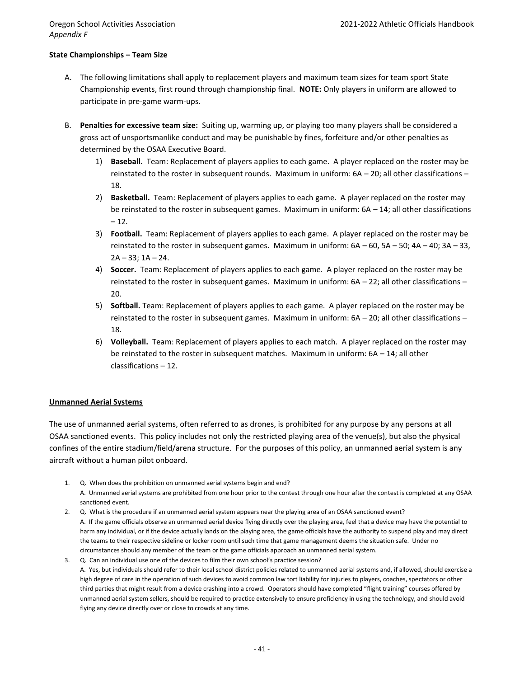### **State Championships – Team Size**

- A. The following limitations shall apply to replacement players and maximum team sizes for team sport State Championship events, first round through championship final. **NOTE:** Only players in uniform are allowed to participate in pre‐game warm‐ups.
- B. **Penalties for excessive team size:** Suiting up, warming up, or playing too many players shall be considered a gross act of unsportsmanlike conduct and may be punishable by fines, forfeiture and/or other penalties as determined by the OSAA Executive Board.
	- 1) **Baseball.** Team: Replacement of players applies to each game. A player replaced on the roster may be reinstated to the roster in subsequent rounds. Maximum in uniform: 6A – 20; all other classifications – 18.
	- 2) **Basketball.** Team: Replacement of players applies to each game. A player replaced on the roster may be reinstated to the roster in subsequent games. Maximum in uniform: 6A – 14; all other classifications  $-12.$
	- 3) **Football.** Team: Replacement of players applies to each game. A player replaced on the roster may be reinstated to the roster in subsequent games. Maximum in uniform: 6A – 60, 5A – 50; 4A – 40; 3A – 33,  $2A - 33$ ;  $1A - 24$ .
	- 4) **Soccer.** Team: Replacement of players applies to each game. A player replaced on the roster may be reinstated to the roster in subsequent games. Maximum in uniform: 6A – 22; all other classifications – 20.
	- 5) **Softball.** Team: Replacement of players applies to each game. A player replaced on the roster may be reinstated to the roster in subsequent games. Maximum in uniform: 6A – 20; all other classifications – 18.
	- 6) **Volleyball.** Team: Replacement of players applies to each match. A player replaced on the roster may be reinstated to the roster in subsequent matches. Maximum in uniform:  $6A - 14$ ; all other classifications – 12.

### **Unmanned Aerial Systems**

The use of unmanned aerial systems, often referred to as drones, is prohibited for any purpose by any persons at all OSAA sanctioned events. This policy includes not only the restricted playing area of the venue(s), but also the physical confines of the entire stadium/field/arena structure. For the purposes of this policy, an unmanned aerial system is any aircraft without a human pilot onboard.

- 1. Q. When does the prohibition on unmanned aerial systems begin and end? A. Unmanned aerial systems are prohibited from one hour prior to the contest through one hour after the contest is completed at any OSAA sanctioned event.
- 2. Q. What is the procedure if an unmanned aerial system appears near the playing area of an OSAA sanctioned event? A. If the game officials observe an unmanned aerial device flying directly over the playing area, feel that a device may have the potential to harm any individual, or if the device actually lands on the playing area, the game officials have the authority to suspend play and may direct the teams to their respective sideline or locker room until such time that game management deems the situation safe. Under no circumstances should any member of the team or the game officials approach an unmanned aerial system.
- 3. Q. Can an individual use one of the devices to film their own school's practice session? A. Yes, but individuals should refer to their local school district policies related to unmanned aerial systems and, if allowed, should exercise a high degree of care in the operation of such devices to avoid common law tort liability for injuries to players, coaches, spectators or other third parties that might result from a device crashing into a crowd. Operators should have completed "flight training" courses offered by unmanned aerial system sellers, should be required to practice extensively to ensure proficiency in using the technology, and should avoid flying any device directly over or close to crowds at any time.